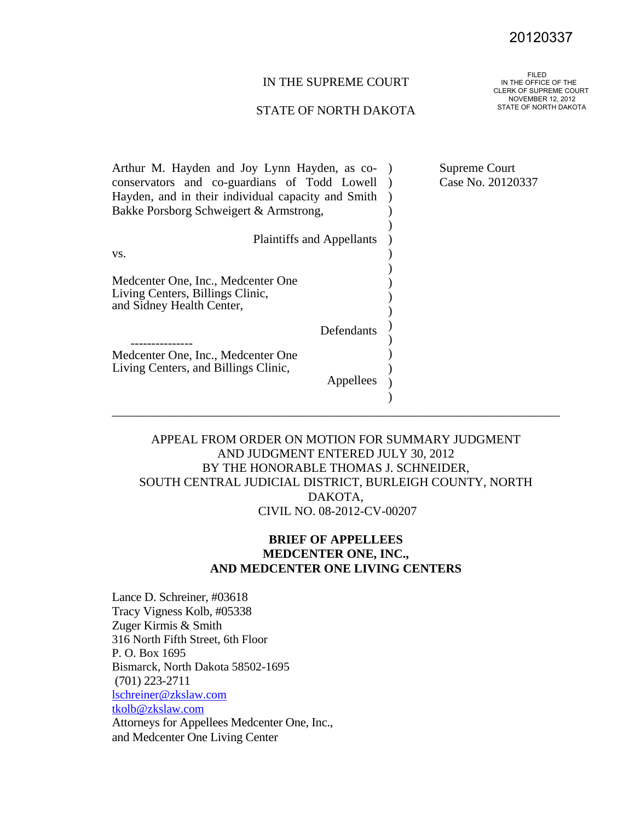# 20120337<br>FILED

## IN THE SUPREME COURT

#### STATE OF NORTH DAKOTA

 IN THE OFFICE OF THE CLERK OF SUPREME COURT NOVEMBER 12, 2012 STATE OF NORTH DAKOTA

| Supreme Court                                |
|----------------------------------------------|
| Case No. 20120337                            |
|                                              |
|                                              |
|                                              |
|                                              |
|                                              |
|                                              |
|                                              |
|                                              |
| Arthur M. Hayden and Joy Lynn Hayden, as co- |

## APPEAL FROM ORDER ON MOTION FOR SUMMARY JUDGMENT AND JUDGMENT ENTERED JULY 30, 2012 BY THE HONORABLE THOMAS J. SCHNEIDER, SOUTH CENTRAL JUDICIAL DISTRICT, BURLEIGH COUNTY, NORTH DAKOTA, CIVIL NO. 08-2012-CV-00207

## **BRIEF OF APPELLEES MEDCENTER ONE, INC., AND MEDCENTER ONE LIVING CENTERS**

Lance D. Schreiner, #03618 Tracy Vigness Kolb, #05338 Zuger Kirmis & Smith 316 North Fifth Street, 6th Floor P. O. Box 1695 Bismarck, North Dakota 58502-1695 (701) 223-2711 lschreiner@zkslaw.com tkolb@zkslaw.com Attorneys for Appellees Medcenter One, Inc., and Medcenter One Living Center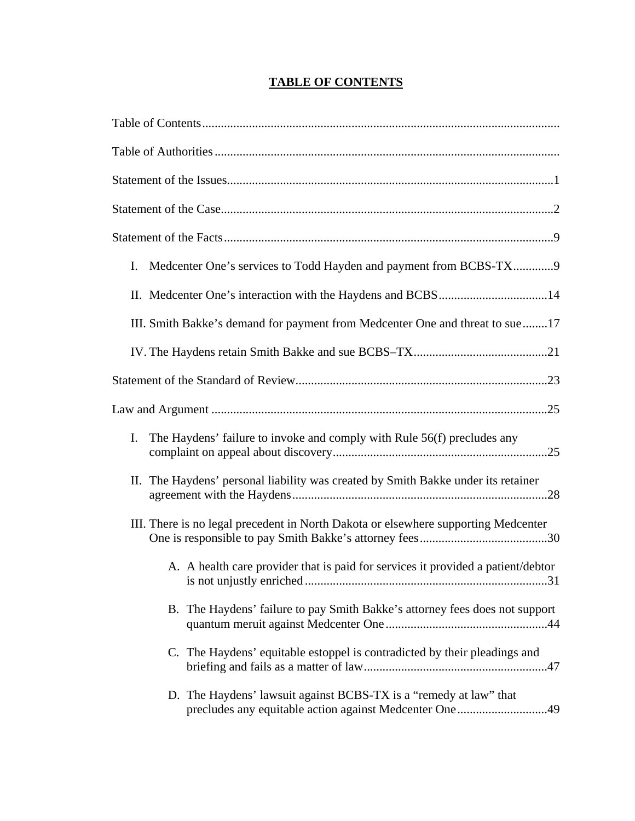# **TABLE OF CONTENTS**

| Medcenter One's services to Todd Hayden and payment from BCBS-TX9<br>I.                                                     |
|-----------------------------------------------------------------------------------------------------------------------------|
|                                                                                                                             |
| III. Smith Bakke's demand for payment from Medcenter One and threat to sue17                                                |
|                                                                                                                             |
|                                                                                                                             |
|                                                                                                                             |
| The Haydens' failure to invoke and comply with Rule 56(f) precludes any<br>I.                                               |
| II. The Haydens' personal liability was created by Smith Bakke under its retainer                                           |
| III. There is no legal precedent in North Dakota or elsewhere supporting Medcenter                                          |
| A. A health care provider that is paid for services it provided a patient/debtor<br>31                                      |
| B. The Haydens' failure to pay Smith Bakke's attorney fees does not support                                                 |
| C. The Haydens' equitable estoppel is contradicted by their pleadings and                                                   |
| D. The Haydens' lawsuit against BCBS-TX is a "remedy at law" that<br>precludes any equitable action against Medcenter One49 |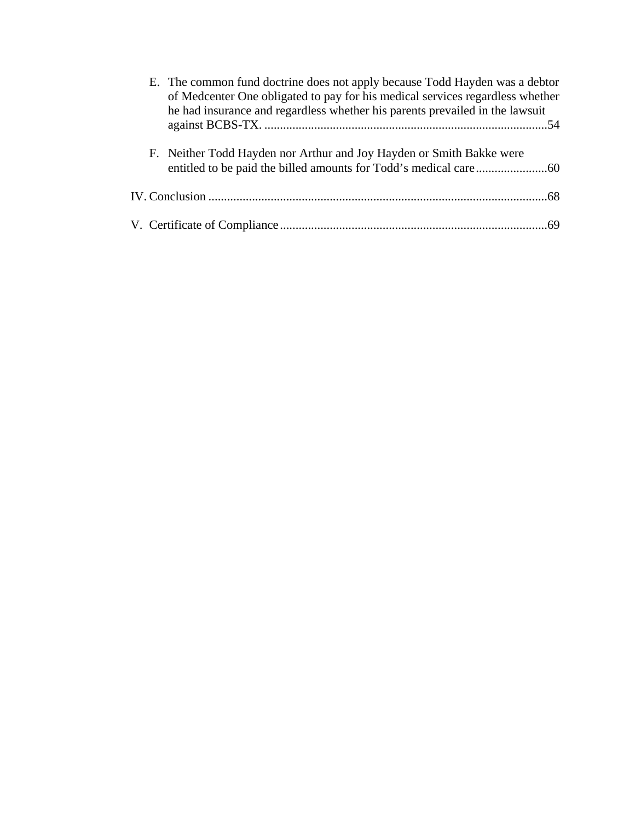| E. The common fund doctrine does not apply because Todd Hayden was a debtor<br>of Medcenter One obligated to pay for his medical services regardless whether<br>he had insurance and regardless whether his parents prevailed in the lawsuit |
|----------------------------------------------------------------------------------------------------------------------------------------------------------------------------------------------------------------------------------------------|
|                                                                                                                                                                                                                                              |
| F. Neither Todd Hayden nor Arthur and Joy Hayden or Smith Bakke were                                                                                                                                                                         |
|                                                                                                                                                                                                                                              |
|                                                                                                                                                                                                                                              |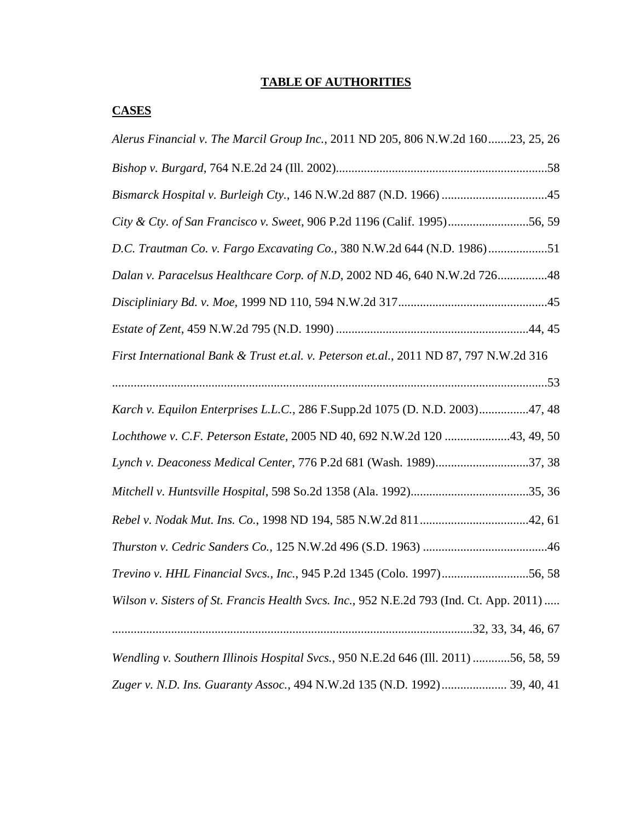# **TABLE OF AUTHORITIES**

## **CASES**

| Alerus Financial v. The Marcil Group Inc., 2011 ND 205, 806 N.W.2d 16023, 25, 26        |
|-----------------------------------------------------------------------------------------|
|                                                                                         |
| Bismarck Hospital v. Burleigh Cty., 146 N.W.2d 887 (N.D. 1966) 45                       |
| City & Cty. of San Francisco v. Sweet, 906 P.2d 1196 (Calif. 1995)56, 59                |
| D.C. Trautman Co. v. Fargo Excavating Co., 380 N.W.2d 644 (N.D. 1986)51                 |
| Dalan v. Paracelsus Healthcare Corp. of N.D, 2002 ND 46, 640 N.W.2d 72648               |
|                                                                                         |
|                                                                                         |
| First International Bank & Trust et.al. v. Peterson et.al., 2011 ND 87, 797 N.W.2d 316  |
|                                                                                         |
| Karch v. Equilon Enterprises L.L.C., 286 F.Supp.2d 1075 (D. N.D. 2003)47, 48            |
| Lochthowe v. C.F. Peterson Estate, 2005 ND 40, 692 N.W.2d 120 43, 49, 50                |
| Lynch v. Deaconess Medical Center, 776 P.2d 681 (Wash. 1989)37, 38                      |
|                                                                                         |
|                                                                                         |
|                                                                                         |
| Trevino v. HHL Financial Svcs., Inc., 945 P.2d 1345 (Colo. 1997)56, 58                  |
| Wilson v. Sisters of St. Francis Health Svcs. Inc., 952 N.E.2d 793 (Ind. Ct. App. 2011) |
|                                                                                         |
| Wendling v. Southern Illinois Hospital Svcs., 950 N.E.2d 646 (Ill. 2011) 56, 58, 59     |
| Zuger v. N.D. Ins. Guaranty Assoc., 494 N.W.2d 135 (N.D. 1992) 39, 40, 41               |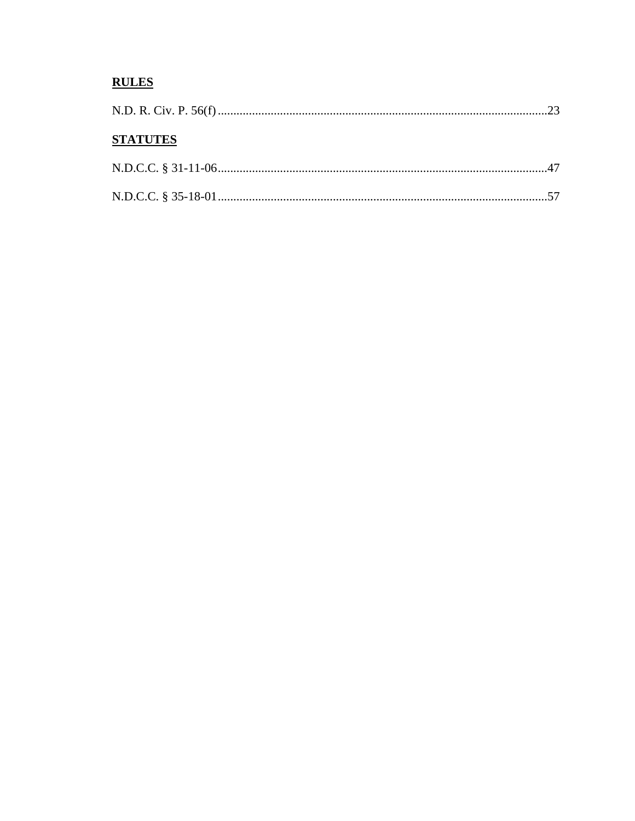# **RULES**

| <b>STATUTES</b> |  |
|-----------------|--|
|                 |  |
|                 |  |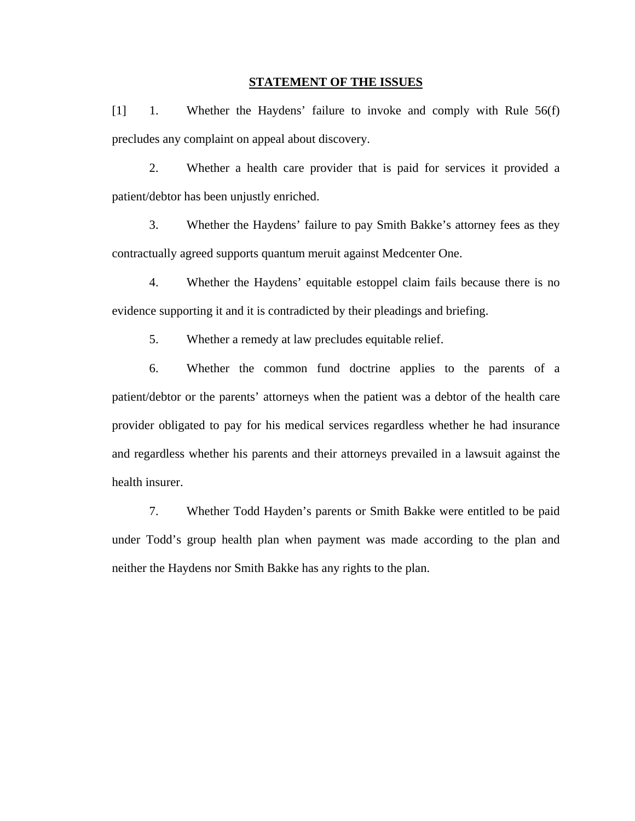#### **STATEMENT OF THE ISSUES**

[1] 1. Whether the Haydens' failure to invoke and comply with Rule 56(f) precludes any complaint on appeal about discovery.

2. Whether a health care provider that is paid for services it provided a patient/debtor has been unjustly enriched.

3. Whether the Haydens' failure to pay Smith Bakke's attorney fees as they contractually agreed supports quantum meruit against Medcenter One.

4. Whether the Haydens' equitable estoppel claim fails because there is no evidence supporting it and it is contradicted by their pleadings and briefing.

5. Whether a remedy at law precludes equitable relief.

6. Whether the common fund doctrine applies to the parents of a patient/debtor or the parents' attorneys when the patient was a debtor of the health care provider obligated to pay for his medical services regardless whether he had insurance and regardless whether his parents and their attorneys prevailed in a lawsuit against the health insurer.

7. Whether Todd Hayden's parents or Smith Bakke were entitled to be paid under Todd's group health plan when payment was made according to the plan and neither the Haydens nor Smith Bakke has any rights to the plan.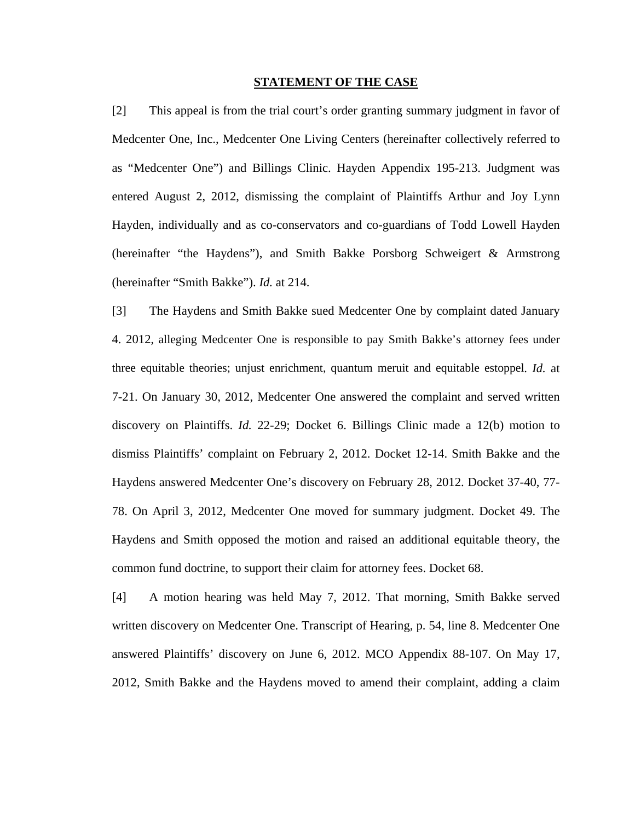#### **STATEMENT OF THE CASE**

[2] This appeal is from the trial court's order granting summary judgment in favor of Medcenter One, Inc., Medcenter One Living Centers (hereinafter collectively referred to as "Medcenter One") and Billings Clinic. Hayden Appendix 195-213. Judgment was entered August 2, 2012, dismissing the complaint of Plaintiffs Arthur and Joy Lynn Hayden, individually and as co-conservators and co-guardians of Todd Lowell Hayden (hereinafter "the Haydens"), and Smith Bakke Porsborg Schweigert & Armstrong (hereinafter "Smith Bakke"). *Id.* at 214.

[3] The Haydens and Smith Bakke sued Medcenter One by complaint dated January 4. 2012, alleging Medcenter One is responsible to pay Smith Bakke's attorney fees under three equitable theories; unjust enrichment, quantum meruit and equitable estoppel. *Id.* at 7-21. On January 30, 2012, Medcenter One answered the complaint and served written discovery on Plaintiffs. *Id.* 22-29; Docket 6. Billings Clinic made a 12(b) motion to dismiss Plaintiffs' complaint on February 2, 2012. Docket 12-14. Smith Bakke and the Haydens answered Medcenter One's discovery on February 28, 2012. Docket 37-40, 77- 78. On April 3, 2012, Medcenter One moved for summary judgment. Docket 49. The Haydens and Smith opposed the motion and raised an additional equitable theory, the common fund doctrine, to support their claim for attorney fees. Docket 68.

[4] A motion hearing was held May 7, 2012. That morning, Smith Bakke served written discovery on Medcenter One. Transcript of Hearing, p. 54, line 8. Medcenter One answered Plaintiffs' discovery on June 6, 2012. MCO Appendix 88-107. On May 17, 2012, Smith Bakke and the Haydens moved to amend their complaint, adding a claim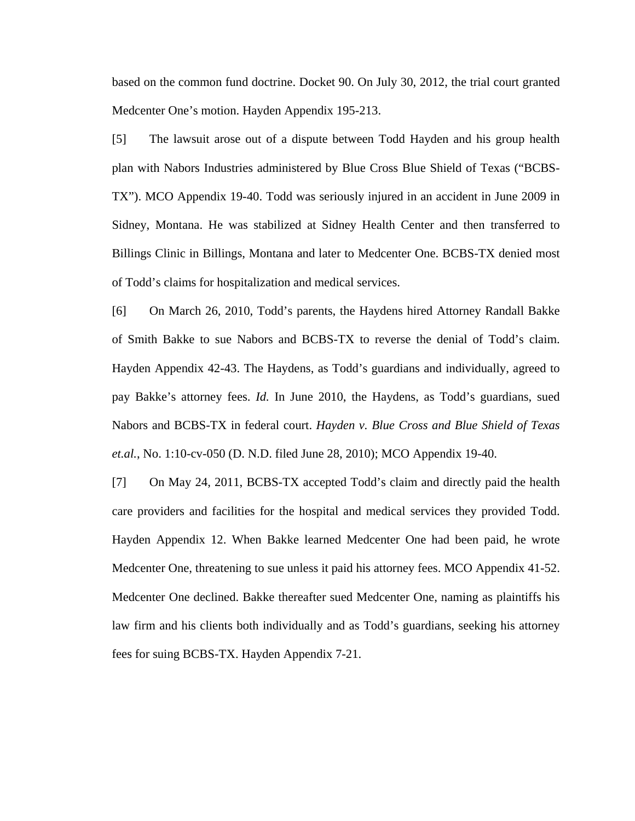based on the common fund doctrine. Docket 90. On July 30, 2012, the trial court granted Medcenter One's motion. Hayden Appendix 195-213.

[5] The lawsuit arose out of a dispute between Todd Hayden and his group health plan with Nabors Industries administered by Blue Cross Blue Shield of Texas ("BCBS-TX"). MCO Appendix 19-40. Todd was seriously injured in an accident in June 2009 in Sidney, Montana. He was stabilized at Sidney Health Center and then transferred to Billings Clinic in Billings, Montana and later to Medcenter One. BCBS-TX denied most of Todd's claims for hospitalization and medical services.

[6] On March 26, 2010, Todd's parents, the Haydens hired Attorney Randall Bakke of Smith Bakke to sue Nabors and BCBS-TX to reverse the denial of Todd's claim. Hayden Appendix 42-43. The Haydens, as Todd's guardians and individually, agreed to pay Bakke's attorney fees. *Id.* In June 2010, the Haydens, as Todd's guardians, sued Nabors and BCBS-TX in federal court. *Hayden v. Blue Cross and Blue Shield of Texas et.al.*, No. 1:10-cv-050 (D. N.D. filed June 28, 2010); MCO Appendix 19-40.

[7] On May 24, 2011, BCBS-TX accepted Todd's claim and directly paid the health care providers and facilities for the hospital and medical services they provided Todd. Hayden Appendix 12. When Bakke learned Medcenter One had been paid, he wrote Medcenter One, threatening to sue unless it paid his attorney fees. MCO Appendix 41-52. Medcenter One declined. Bakke thereafter sued Medcenter One, naming as plaintiffs his law firm and his clients both individually and as Todd's guardians, seeking his attorney fees for suing BCBS-TX. Hayden Appendix 7-21.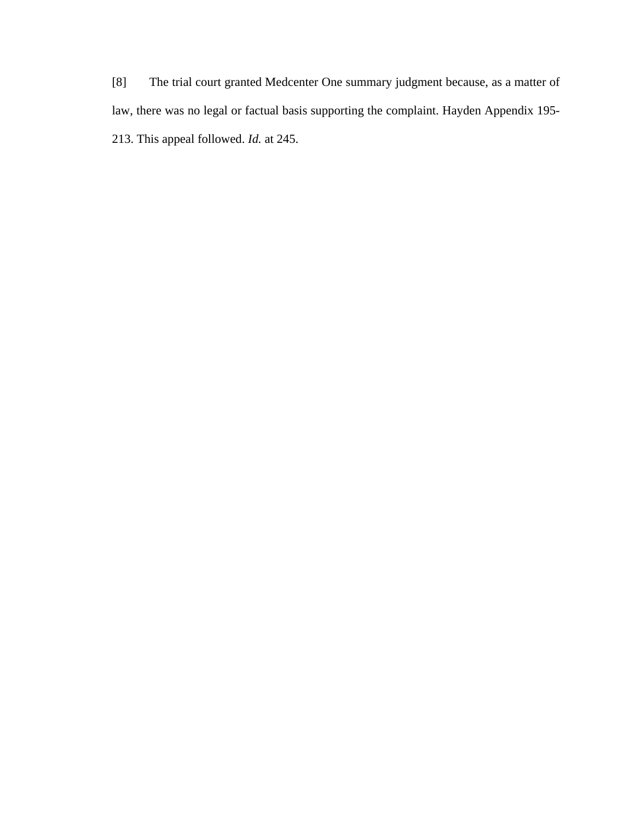[8] The trial court granted Medcenter One summary judgment because, as a matter of law, there was no legal or factual basis supporting the complaint. Hayden Appendix 195- 213. This appeal followed. *Id.* at 245.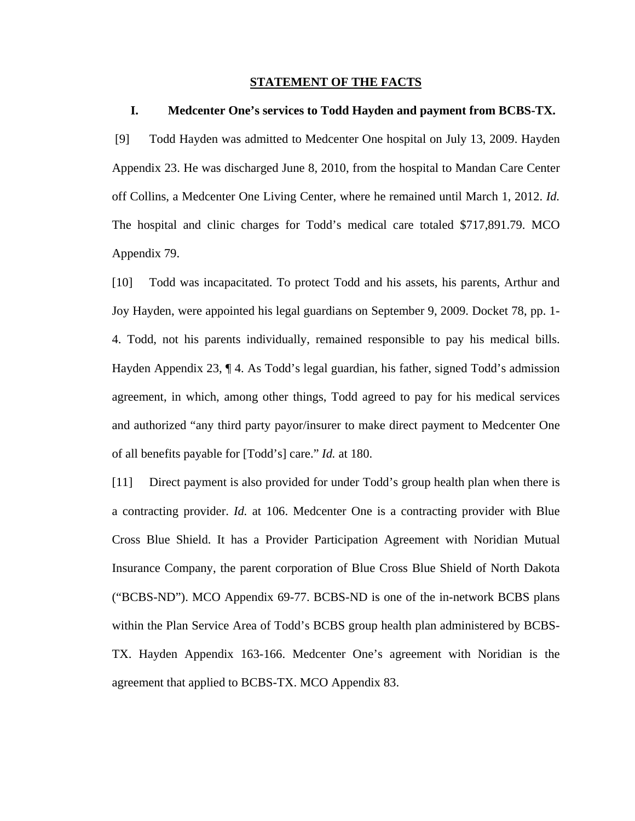#### **STATEMENT OF THE FACTS**

#### **I. Medcenter One's services to Todd Hayden and payment from BCBS-TX.**

 [9] Todd Hayden was admitted to Medcenter One hospital on July 13, 2009. Hayden Appendix 23. He was discharged June 8, 2010, from the hospital to Mandan Care Center off Collins, a Medcenter One Living Center, where he remained until March 1, 2012. *Id.* The hospital and clinic charges for Todd's medical care totaled \$717,891.79. MCO Appendix 79.

[10] Todd was incapacitated. To protect Todd and his assets, his parents, Arthur and Joy Hayden, were appointed his legal guardians on September 9, 2009. Docket 78, pp. 1- 4. Todd, not his parents individually, remained responsible to pay his medical bills. Hayden Appendix 23, ¶ 4. As Todd's legal guardian, his father, signed Todd's admission agreement, in which, among other things, Todd agreed to pay for his medical services and authorized "any third party payor/insurer to make direct payment to Medcenter One of all benefits payable for [Todd's] care." *Id.* at 180.

[11] Direct payment is also provided for under Todd's group health plan when there is a contracting provider. *Id.* at 106. Medcenter One is a contracting provider with Blue Cross Blue Shield. It has a Provider Participation Agreement with Noridian Mutual Insurance Company, the parent corporation of Blue Cross Blue Shield of North Dakota ("BCBS-ND"). MCO Appendix 69-77. BCBS-ND is one of the in-network BCBS plans within the Plan Service Area of Todd's BCBS group health plan administered by BCBS-TX. Hayden Appendix 163-166. Medcenter One's agreement with Noridian is the agreement that applied to BCBS-TX. MCO Appendix 83.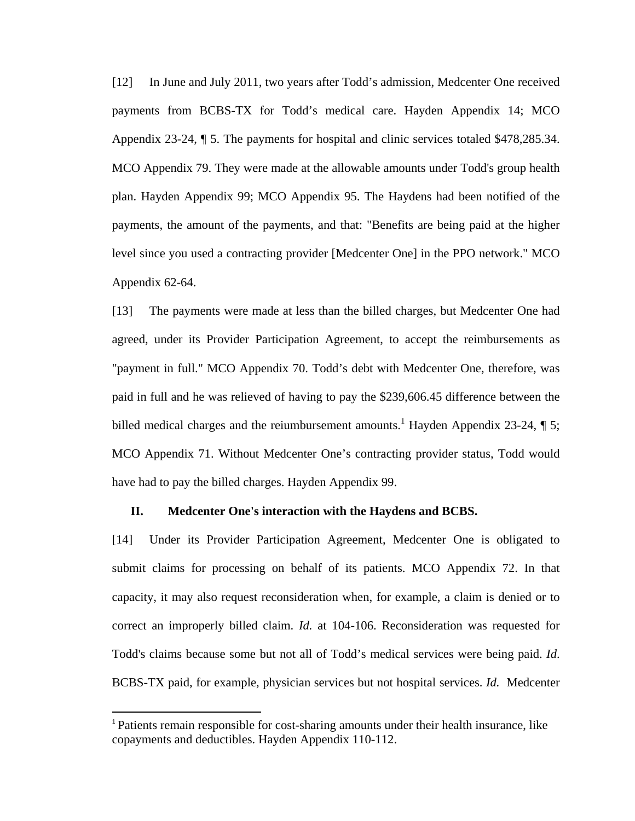[12] In June and July 2011, two years after Todd's admission, Medcenter One received payments from BCBS-TX for Todd's medical care. Hayden Appendix 14; MCO Appendix 23-24, ¶ 5. The payments for hospital and clinic services totaled \$478,285.34. MCO Appendix 79. They were made at the allowable amounts under Todd's group health plan. Hayden Appendix 99; MCO Appendix 95. The Haydens had been notified of the payments, the amount of the payments, and that: "Benefits are being paid at the higher level since you used a contracting provider [Medcenter One] in the PPO network." MCO Appendix 62-64.

[13] The payments were made at less than the billed charges, but Medcenter One had agreed, under its Provider Participation Agreement, to accept the reimbursements as "payment in full." MCO Appendix 70. Todd's debt with Medcenter One, therefore, was paid in full and he was relieved of having to pay the \$239,606.45 difference between the billed medical charges and the reiumbursement amounts.<sup>1</sup> Hayden Appendix 23-24,  $\P$  5; MCO Appendix 71. Without Medcenter One's contracting provider status, Todd would have had to pay the billed charges. Hayden Appendix 99.

#### **II. Medcenter One's interaction with the Haydens and BCBS.**

[14] Under its Provider Participation Agreement, Medcenter One is obligated to submit claims for processing on behalf of its patients. MCO Appendix 72. In that capacity, it may also request reconsideration when, for example, a claim is denied or to correct an improperly billed claim. *Id.* at 104-106. Reconsideration was requested for Todd's claims because some but not all of Todd's medical services were being paid. *Id*. BCBS-TX paid, for example, physician services but not hospital services. *Id.* Medcenter

<sup>1</sup> Patients remain responsible for cost-sharing amounts under their health insurance, like copayments and deductibles. Hayden Appendix 110-112.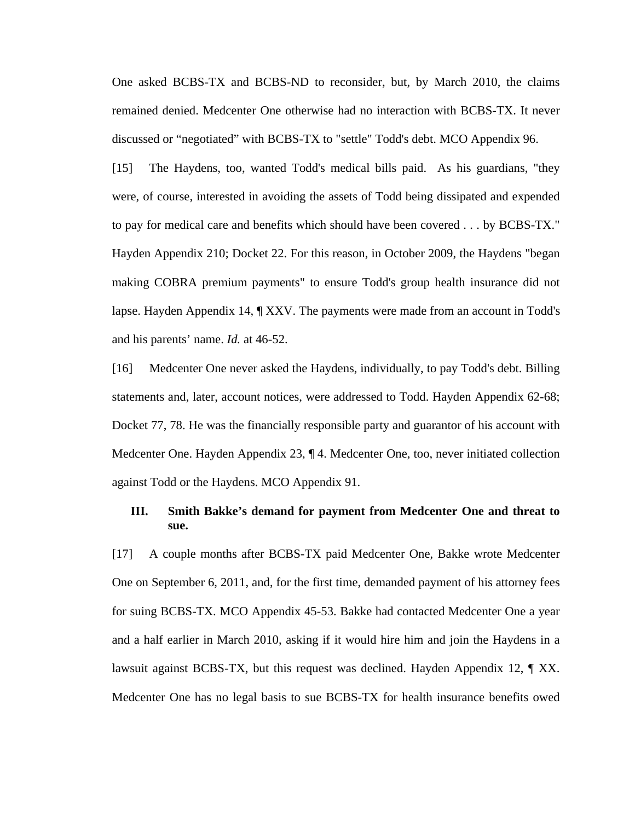One asked BCBS-TX and BCBS-ND to reconsider, but, by March 2010, the claims remained denied. Medcenter One otherwise had no interaction with BCBS-TX. It never discussed or "negotiated" with BCBS-TX to "settle" Todd's debt. MCO Appendix 96.

[15] The Haydens, too, wanted Todd's medical bills paid. As his guardians, "they were, of course, interested in avoiding the assets of Todd being dissipated and expended to pay for medical care and benefits which should have been covered . . . by BCBS-TX." Hayden Appendix 210; Docket 22. For this reason, in October 2009, the Haydens "began making COBRA premium payments" to ensure Todd's group health insurance did not lapse. Hayden Appendix 14, ¶ XXV. The payments were made from an account in Todd's and his parents' name. *Id.* at 46-52.

[16] Medcenter One never asked the Haydens, individually, to pay Todd's debt. Billing statements and, later, account notices, were addressed to Todd. Hayden Appendix 62-68; Docket 77, 78. He was the financially responsible party and guarantor of his account with Medcenter One. Hayden Appendix 23, ¶ 4. Medcenter One, too, never initiated collection against Todd or the Haydens. MCO Appendix 91.

#### **III. Smith Bakke's demand for payment from Medcenter One and threat to sue.**

[17] A couple months after BCBS-TX paid Medcenter One, Bakke wrote Medcenter One on September 6, 2011, and, for the first time, demanded payment of his attorney fees for suing BCBS-TX. MCO Appendix 45-53. Bakke had contacted Medcenter One a year and a half earlier in March 2010, asking if it would hire him and join the Haydens in a lawsuit against BCBS-TX, but this request was declined. Hayden Appendix 12, ¶ XX. Medcenter One has no legal basis to sue BCBS-TX for health insurance benefits owed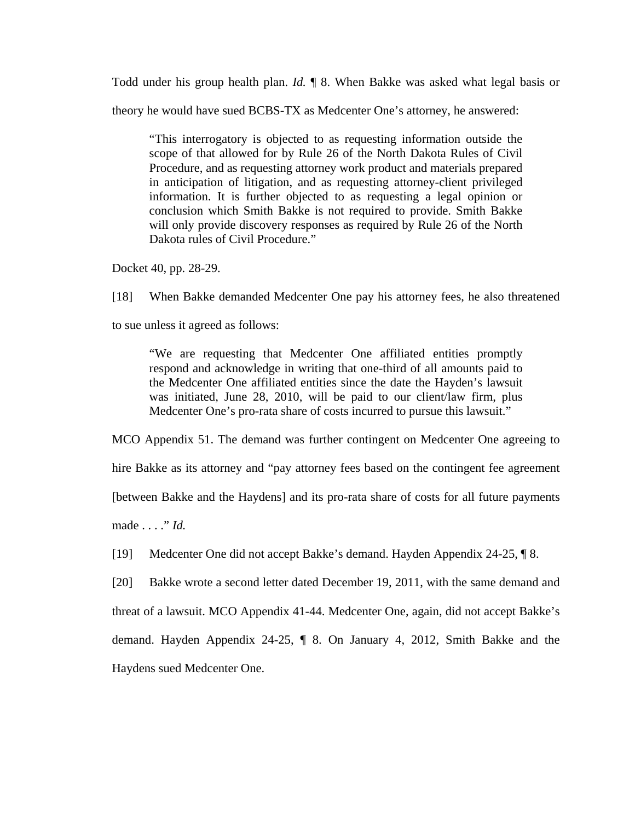Todd under his group health plan. *Id.* ¶ 8. When Bakke was asked what legal basis or

theory he would have sued BCBS-TX as Medcenter One's attorney, he answered:

"This interrogatory is objected to as requesting information outside the scope of that allowed for by Rule 26 of the North Dakota Rules of Civil Procedure, and as requesting attorney work product and materials prepared in anticipation of litigation, and as requesting attorney-client privileged information. It is further objected to as requesting a legal opinion or conclusion which Smith Bakke is not required to provide. Smith Bakke will only provide discovery responses as required by Rule 26 of the North Dakota rules of Civil Procedure."

Docket 40, pp. 28-29.

[18] When Bakke demanded Medcenter One pay his attorney fees, he also threatened

to sue unless it agreed as follows:

"We are requesting that Medcenter One affiliated entities promptly respond and acknowledge in writing that one-third of all amounts paid to the Medcenter One affiliated entities since the date the Hayden's lawsuit was initiated, June 28, 2010, will be paid to our client/law firm, plus Medcenter One's pro-rata share of costs incurred to pursue this lawsuit."

MCO Appendix 51. The demand was further contingent on Medcenter One agreeing to

hire Bakke as its attorney and "pay attorney fees based on the contingent fee agreement

[between Bakke and the Haydens] and its pro-rata share of costs for all future payments

made . . . ." *Id.*

[19] Medcenter One did not accept Bakke's demand. Hayden Appendix 24-25, ¶ 8.

[20] Bakke wrote a second letter dated December 19, 2011, with the same demand and threat of a lawsuit. MCO Appendix 41-44. Medcenter One, again, did not accept Bakke's demand. Hayden Appendix 24-25, ¶ 8. On January 4, 2012, Smith Bakke and the Haydens sued Medcenter One.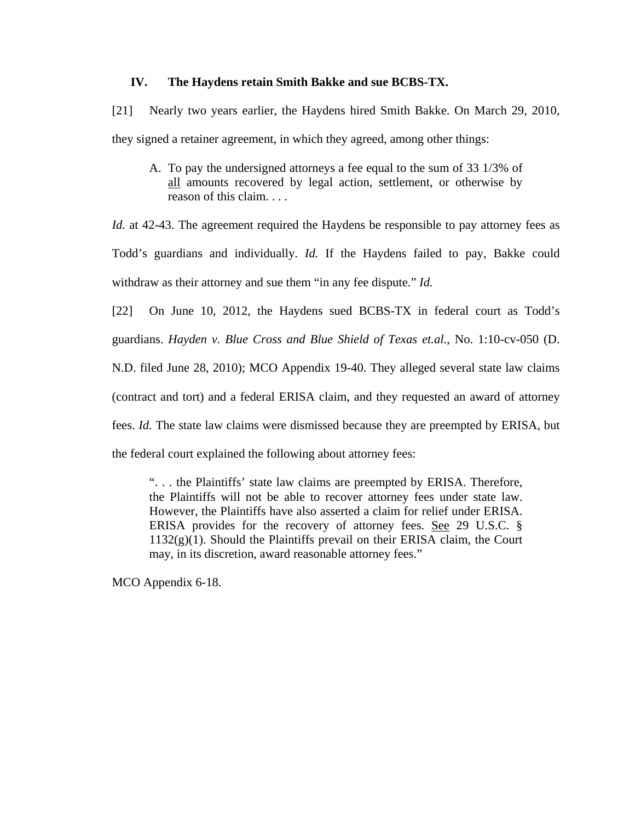#### **IV. The Haydens retain Smith Bakke and sue BCBS-TX.**

[21] Nearly two years earlier, the Haydens hired Smith Bakke. On March 29, 2010, they signed a retainer agreement, in which they agreed, among other things:

A. To pay the undersigned attorneys a fee equal to the sum of 33 1/3% of all amounts recovered by legal action, settlement, or otherwise by reason of this claim. . . .

*Id.* at 42-43. The agreement required the Haydens be responsible to pay attorney fees as Todd's guardians and individually. *Id.* If the Haydens failed to pay, Bakke could withdraw as their attorney and sue them "in any fee dispute." *Id.*

[22] On June 10, 2012, the Haydens sued BCBS-TX in federal court as Todd's guardians. *Hayden v. Blue Cross and Blue Shield of Texas et.al.*, No. 1:10-cv-050 (D. N.D. filed June 28, 2010); MCO Appendix 19-40. They alleged several state law claims (contract and tort) and a federal ERISA claim, and they requested an award of attorney fees. *Id.* The state law claims were dismissed because they are preempted by ERISA, but the federal court explained the following about attorney fees:

". . . the Plaintiffs' state law claims are preempted by ERISA. Therefore, the Plaintiffs will not be able to recover attorney fees under state law. However, the Plaintiffs have also asserted a claim for relief under ERISA. ERISA provides for the recovery of attorney fees. See 29 U.S.C. §  $1132(g)(1)$ . Should the Plaintiffs prevail on their ERISA claim, the Court may, in its discretion, award reasonable attorney fees."

MCO Appendix 6-18.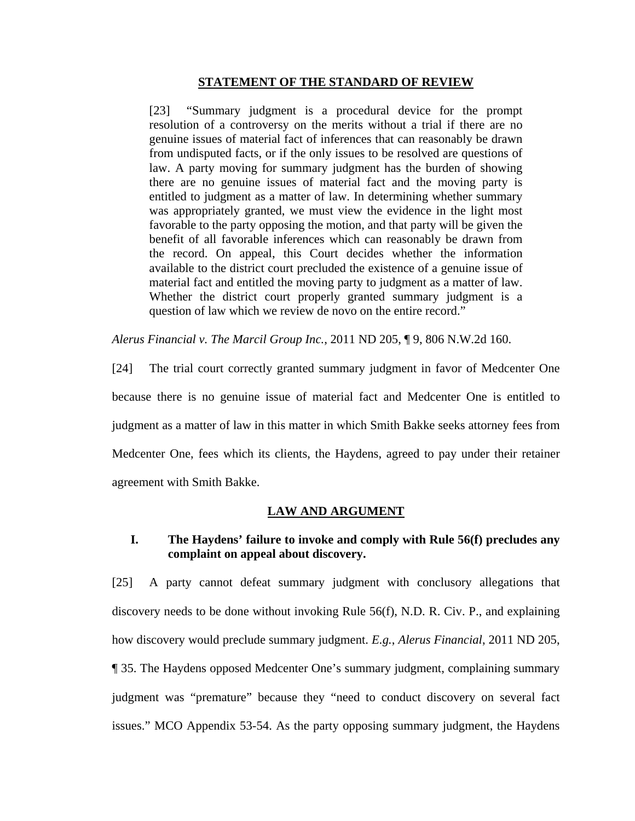#### **STATEMENT OF THE STANDARD OF REVIEW**

[23] "Summary judgment is a procedural device for the prompt resolution of a controversy on the merits without a trial if there are no genuine issues of material fact of inferences that can reasonably be drawn from undisputed facts, or if the only issues to be resolved are questions of law. A party moving for summary judgment has the burden of showing there are no genuine issues of material fact and the moving party is entitled to judgment as a matter of law. In determining whether summary was appropriately granted, we must view the evidence in the light most favorable to the party opposing the motion, and that party will be given the benefit of all favorable inferences which can reasonably be drawn from the record. On appeal, this Court decides whether the information available to the district court precluded the existence of a genuine issue of material fact and entitled the moving party to judgment as a matter of law. Whether the district court properly granted summary judgment is a question of law which we review de novo on the entire record."

*Alerus Financial v. The Marcil Group Inc.*, 2011 ND 205, ¶ 9, 806 N.W.2d 160.

[24] The trial court correctly granted summary judgment in favor of Medcenter One because there is no genuine issue of material fact and Medcenter One is entitled to judgment as a matter of law in this matter in which Smith Bakke seeks attorney fees from Medcenter One, fees which its clients, the Haydens, agreed to pay under their retainer agreement with Smith Bakke.

#### **LAW AND ARGUMENT**

## **I. The Haydens' failure to invoke and comply with Rule 56(f) precludes any complaint on appeal about discovery.**

[25] A party cannot defeat summary judgment with conclusory allegations that discovery needs to be done without invoking Rule 56(f), N.D. R. Civ. P., and explaining how discovery would preclude summary judgment. *E.g.*, *Alerus Financial*, 2011 ND 205, ¶ 35. The Haydens opposed Medcenter One's summary judgment, complaining summary judgment was "premature" because they "need to conduct discovery on several fact issues." MCO Appendix 53-54. As the party opposing summary judgment, the Haydens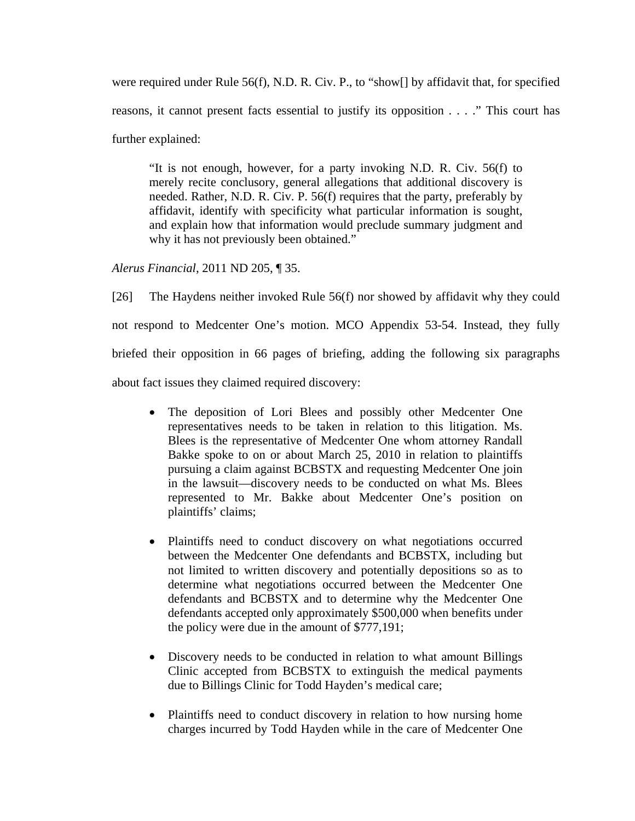were required under Rule 56(f), N.D. R. Civ. P., to "show[] by affidavit that, for specified reasons, it cannot present facts essential to justify its opposition . . . ." This court has further explained:

"It is not enough, however, for a party invoking N.D. R. Civ. 56(f) to merely recite conclusory, general allegations that additional discovery is needed. Rather, N.D. R. Civ. P. 56(f) requires that the party, preferably by affidavit, identify with specificity what particular information is sought, and explain how that information would preclude summary judgment and why it has not previously been obtained."

*Alerus Financial*, 2011 ND 205, ¶ 35.

[26] The Haydens neither invoked Rule 56(f) nor showed by affidavit why they could not respond to Medcenter One's motion. MCO Appendix 53-54. Instead, they fully briefed their opposition in 66 pages of briefing, adding the following six paragraphs about fact issues they claimed required discovery:

- The deposition of Lori Blees and possibly other Medcenter One representatives needs to be taken in relation to this litigation. Ms. Blees is the representative of Medcenter One whom attorney Randall Bakke spoke to on or about March 25, 2010 in relation to plaintiffs pursuing a claim against BCBSTX and requesting Medcenter One join in the lawsuit—discovery needs to be conducted on what Ms. Blees represented to Mr. Bakke about Medcenter One's position on plaintiffs' claims;
- Plaintiffs need to conduct discovery on what negotiations occurred between the Medcenter One defendants and BCBSTX, including but not limited to written discovery and potentially depositions so as to determine what negotiations occurred between the Medcenter One defendants and BCBSTX and to determine why the Medcenter One defendants accepted only approximately \$500,000 when benefits under the policy were due in the amount of \$777,191;
- Discovery needs to be conducted in relation to what amount Billings Clinic accepted from BCBSTX to extinguish the medical payments due to Billings Clinic for Todd Hayden's medical care;
- Plaintiffs need to conduct discovery in relation to how nursing home charges incurred by Todd Hayden while in the care of Medcenter One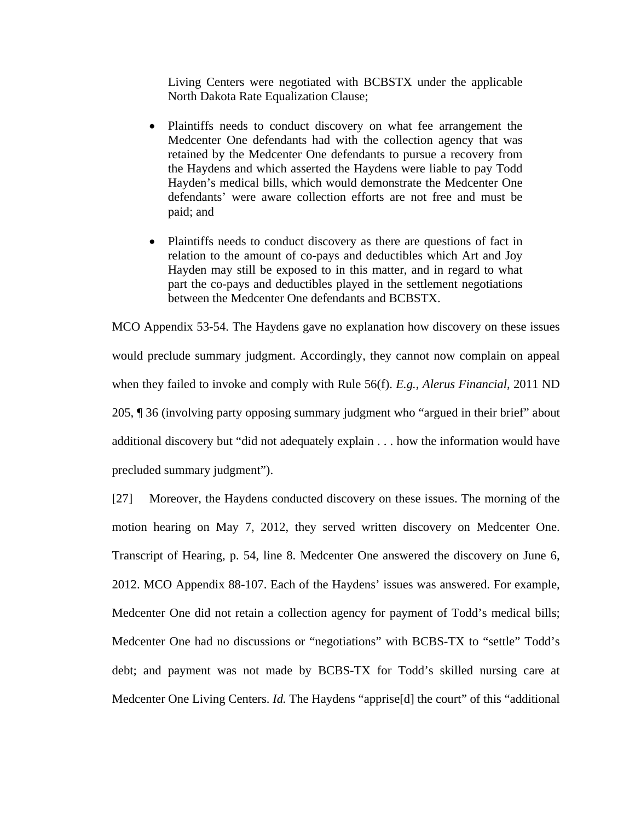Living Centers were negotiated with BCBSTX under the applicable North Dakota Rate Equalization Clause;

- Plaintiffs needs to conduct discovery on what fee arrangement the Medcenter One defendants had with the collection agency that was retained by the Medcenter One defendants to pursue a recovery from the Haydens and which asserted the Haydens were liable to pay Todd Hayden's medical bills, which would demonstrate the Medcenter One defendants' were aware collection efforts are not free and must be paid; and
- Plaintiffs needs to conduct discovery as there are questions of fact in relation to the amount of co-pays and deductibles which Art and Joy Hayden may still be exposed to in this matter, and in regard to what part the co-pays and deductibles played in the settlement negotiations between the Medcenter One defendants and BCBSTX.

MCO Appendix 53-54. The Haydens gave no explanation how discovery on these issues would preclude summary judgment. Accordingly, they cannot now complain on appeal when they failed to invoke and comply with Rule 56(f). *E.g.*, *Alerus Financial*, 2011 ND 205, ¶ 36 (involving party opposing summary judgment who "argued in their brief" about additional discovery but "did not adequately explain . . . how the information would have precluded summary judgment").

[27] Moreover, the Haydens conducted discovery on these issues. The morning of the motion hearing on May 7, 2012, they served written discovery on Medcenter One. Transcript of Hearing, p. 54, line 8. Medcenter One answered the discovery on June 6, 2012. MCO Appendix 88-107. Each of the Haydens' issues was answered. For example, Medcenter One did not retain a collection agency for payment of Todd's medical bills; Medcenter One had no discussions or "negotiations" with BCBS-TX to "settle" Todd's debt; and payment was not made by BCBS-TX for Todd's skilled nursing care at Medcenter One Living Centers. *Id.* The Haydens "apprise[d] the court" of this "additional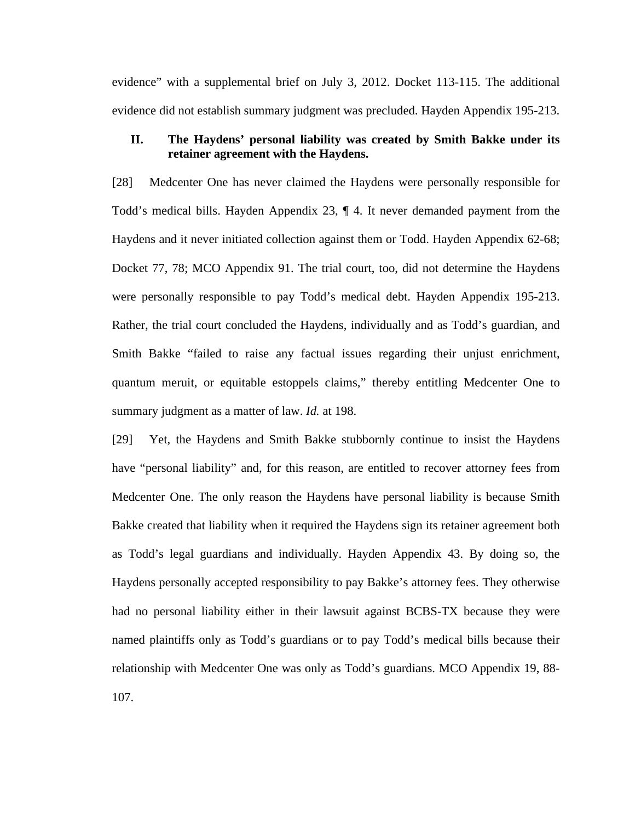evidence" with a supplemental brief on July 3, 2012. Docket 113-115. The additional evidence did not establish summary judgment was precluded. Hayden Appendix 195-213.

## **II. The Haydens' personal liability was created by Smith Bakke under its retainer agreement with the Haydens.**

[28] Medcenter One has never claimed the Haydens were personally responsible for Todd's medical bills. Hayden Appendix 23, ¶ 4. It never demanded payment from the Haydens and it never initiated collection against them or Todd. Hayden Appendix 62-68; Docket 77, 78; MCO Appendix 91. The trial court, too, did not determine the Haydens were personally responsible to pay Todd's medical debt. Hayden Appendix 195-213. Rather, the trial court concluded the Haydens, individually and as Todd's guardian, and Smith Bakke "failed to raise any factual issues regarding their unjust enrichment, quantum meruit, or equitable estoppels claims," thereby entitling Medcenter One to summary judgment as a matter of law. *Id.* at 198.

[29] Yet, the Haydens and Smith Bakke stubbornly continue to insist the Haydens have "personal liability" and, for this reason, are entitled to recover attorney fees from Medcenter One. The only reason the Haydens have personal liability is because Smith Bakke created that liability when it required the Haydens sign its retainer agreement both as Todd's legal guardians and individually. Hayden Appendix 43. By doing so, the Haydens personally accepted responsibility to pay Bakke's attorney fees. They otherwise had no personal liability either in their lawsuit against BCBS-TX because they were named plaintiffs only as Todd's guardians or to pay Todd's medical bills because their relationship with Medcenter One was only as Todd's guardians. MCO Appendix 19, 88- 107.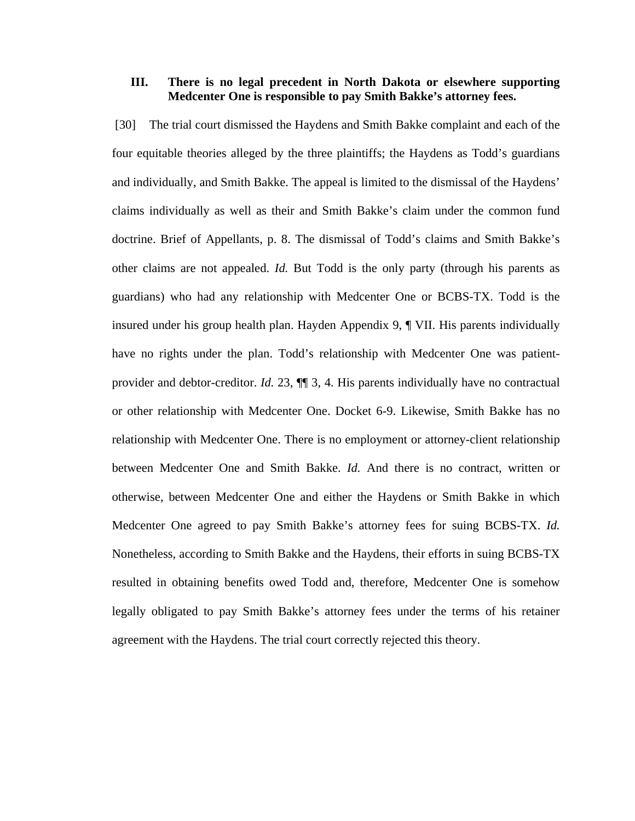#### **III. There is no legal precedent in North Dakota or elsewhere supporting Medcenter One is responsible to pay Smith Bakke's attorney fees.**

 [30] The trial court dismissed the Haydens and Smith Bakke complaint and each of the four equitable theories alleged by the three plaintiffs; the Haydens as Todd's guardians and individually, and Smith Bakke. The appeal is limited to the dismissal of the Haydens' claims individually as well as their and Smith Bakke's claim under the common fund doctrine. Brief of Appellants, p. 8. The dismissal of Todd's claims and Smith Bakke's other claims are not appealed. *Id.* But Todd is the only party (through his parents as guardians) who had any relationship with Medcenter One or BCBS-TX. Todd is the insured under his group health plan. Hayden Appendix 9, ¶ VII. His parents individually have no rights under the plan. Todd's relationship with Medcenter One was patientprovider and debtor-creditor. *Id.* 23, ¶¶ 3, 4. His parents individually have no contractual or other relationship with Medcenter One. Docket 6-9. Likewise, Smith Bakke has no relationship with Medcenter One. There is no employment or attorney-client relationship between Medcenter One and Smith Bakke. *Id.* And there is no contract, written or otherwise, between Medcenter One and either the Haydens or Smith Bakke in which Medcenter One agreed to pay Smith Bakke's attorney fees for suing BCBS-TX. *Id.* Nonetheless, according to Smith Bakke and the Haydens, their efforts in suing BCBS-TX resulted in obtaining benefits owed Todd and, therefore, Medcenter One is somehow legally obligated to pay Smith Bakke's attorney fees under the terms of his retainer agreement with the Haydens. The trial court correctly rejected this theory.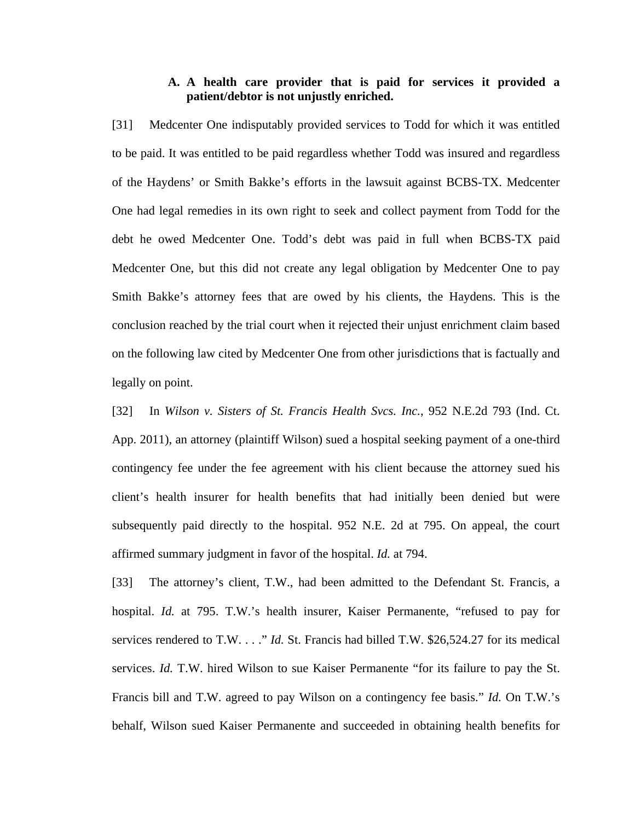## **A. A health care provider that is paid for services it provided a patient/debtor is not unjustly enriched.**

[31] Medcenter One indisputably provided services to Todd for which it was entitled to be paid. It was entitled to be paid regardless whether Todd was insured and regardless of the Haydens' or Smith Bakke's efforts in the lawsuit against BCBS-TX. Medcenter One had legal remedies in its own right to seek and collect payment from Todd for the debt he owed Medcenter One. Todd's debt was paid in full when BCBS-TX paid Medcenter One, but this did not create any legal obligation by Medcenter One to pay Smith Bakke's attorney fees that are owed by his clients, the Haydens. This is the conclusion reached by the trial court when it rejected their unjust enrichment claim based on the following law cited by Medcenter One from other jurisdictions that is factually and legally on point.

[32] In *Wilson v. Sisters of St. Francis Health Svcs. Inc.*, 952 N.E.2d 793 (Ind. Ct. App. 2011), an attorney (plaintiff Wilson) sued a hospital seeking payment of a one-third contingency fee under the fee agreement with his client because the attorney sued his client's health insurer for health benefits that had initially been denied but were subsequently paid directly to the hospital. 952 N.E. 2d at 795. On appeal, the court affirmed summary judgment in favor of the hospital. *Id.* at 794.

[33] The attorney's client, T.W., had been admitted to the Defendant St. Francis, a hospital. *Id.* at 795. T.W.'s health insurer, Kaiser Permanente, "refused to pay for services rendered to T.W. . . ." *Id.* St. Francis had billed T.W. \$26,524.27 for its medical services. *Id.* T.W. hired Wilson to sue Kaiser Permanente "for its failure to pay the St. Francis bill and T.W. agreed to pay Wilson on a contingency fee basis." *Id.* On T.W.'s behalf, Wilson sued Kaiser Permanente and succeeded in obtaining health benefits for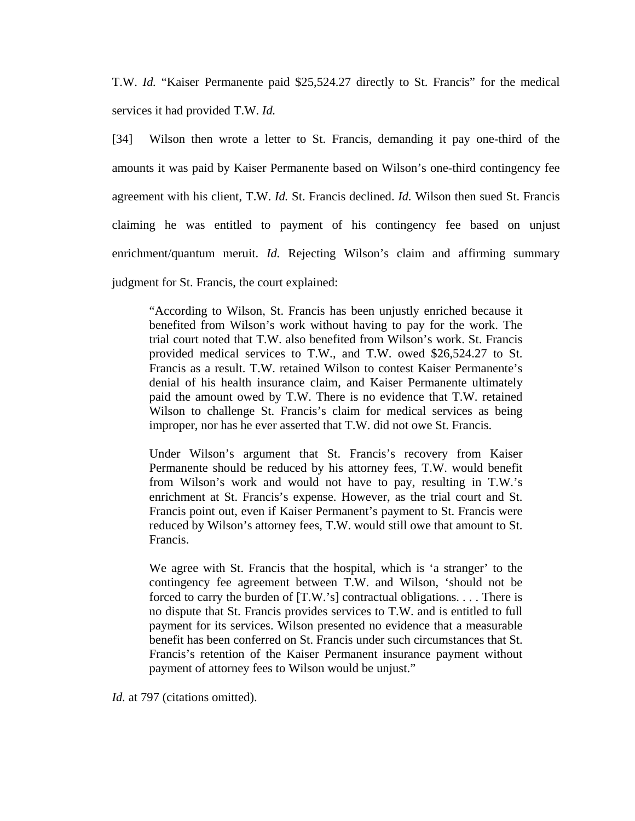T.W. *Id.* "Kaiser Permanente paid \$25,524.27 directly to St. Francis" for the medical services it had provided T.W. *Id.*

[34] Wilson then wrote a letter to St. Francis, demanding it pay one-third of the amounts it was paid by Kaiser Permanente based on Wilson's one-third contingency fee agreement with his client, T.W. *Id.* St. Francis declined. *Id.* Wilson then sued St. Francis claiming he was entitled to payment of his contingency fee based on unjust enrichment/quantum meruit. *Id.* Rejecting Wilson's claim and affirming summary judgment for St. Francis, the court explained:

"According to Wilson, St. Francis has been unjustly enriched because it benefited from Wilson's work without having to pay for the work. The trial court noted that T.W. also benefited from Wilson's work. St. Francis provided medical services to T.W., and T.W. owed \$26,524.27 to St. Francis as a result. T.W. retained Wilson to contest Kaiser Permanente's denial of his health insurance claim, and Kaiser Permanente ultimately paid the amount owed by T.W. There is no evidence that T.W. retained Wilson to challenge St. Francis's claim for medical services as being improper, nor has he ever asserted that T.W. did not owe St. Francis.

Under Wilson's argument that St. Francis's recovery from Kaiser Permanente should be reduced by his attorney fees, T.W. would benefit from Wilson's work and would not have to pay, resulting in T.W.'s enrichment at St. Francis's expense. However, as the trial court and St. Francis point out, even if Kaiser Permanent's payment to St. Francis were reduced by Wilson's attorney fees, T.W. would still owe that amount to St. Francis.

We agree with St. Francis that the hospital, which is 'a stranger' to the contingency fee agreement between T.W. and Wilson, 'should not be forced to carry the burden of [T.W.'s] contractual obligations. . . . There is no dispute that St. Francis provides services to T.W. and is entitled to full payment for its services. Wilson presented no evidence that a measurable benefit has been conferred on St. Francis under such circumstances that St. Francis's retention of the Kaiser Permanent insurance payment without payment of attorney fees to Wilson would be unjust."

*Id.* at 797 (citations omitted).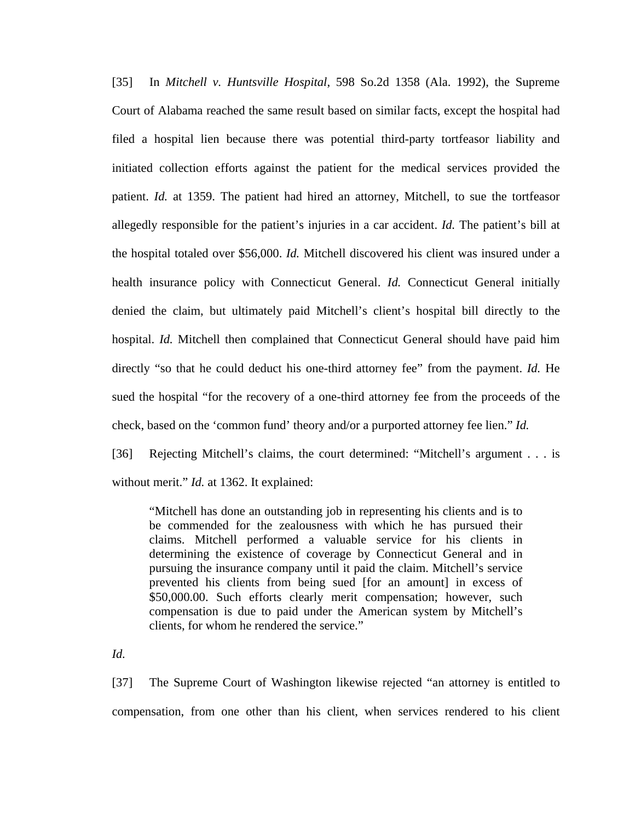[35] In *Mitchell v. Huntsville Hospital*, 598 So.2d 1358 (Ala. 1992), the Supreme Court of Alabama reached the same result based on similar facts, except the hospital had filed a hospital lien because there was potential third-party tortfeasor liability and initiated collection efforts against the patient for the medical services provided the patient. *Id.* at 1359. The patient had hired an attorney, Mitchell, to sue the tortfeasor allegedly responsible for the patient's injuries in a car accident. *Id.* The patient's bill at the hospital totaled over \$56,000. *Id.* Mitchell discovered his client was insured under a health insurance policy with Connecticut General. *Id.* Connecticut General initially denied the claim, but ultimately paid Mitchell's client's hospital bill directly to the hospital. *Id.* Mitchell then complained that Connecticut General should have paid him directly "so that he could deduct his one-third attorney fee" from the payment. *Id.* He sued the hospital "for the recovery of a one-third attorney fee from the proceeds of the check, based on the 'common fund' theory and/or a purported attorney fee lien." *Id.*

[36] Rejecting Mitchell's claims, the court determined: "Mitchell's argument . . . is without merit." *Id.* at 1362. It explained:

"Mitchell has done an outstanding job in representing his clients and is to be commended for the zealousness with which he has pursued their claims. Mitchell performed a valuable service for his clients in determining the existence of coverage by Connecticut General and in pursuing the insurance company until it paid the claim. Mitchell's service prevented his clients from being sued [for an amount] in excess of \$50,000.00. Such efforts clearly merit compensation; however, such compensation is due to paid under the American system by Mitchell's clients, for whom he rendered the service."

*Id.*

[37] The Supreme Court of Washington likewise rejected "an attorney is entitled to compensation, from one other than his client, when services rendered to his client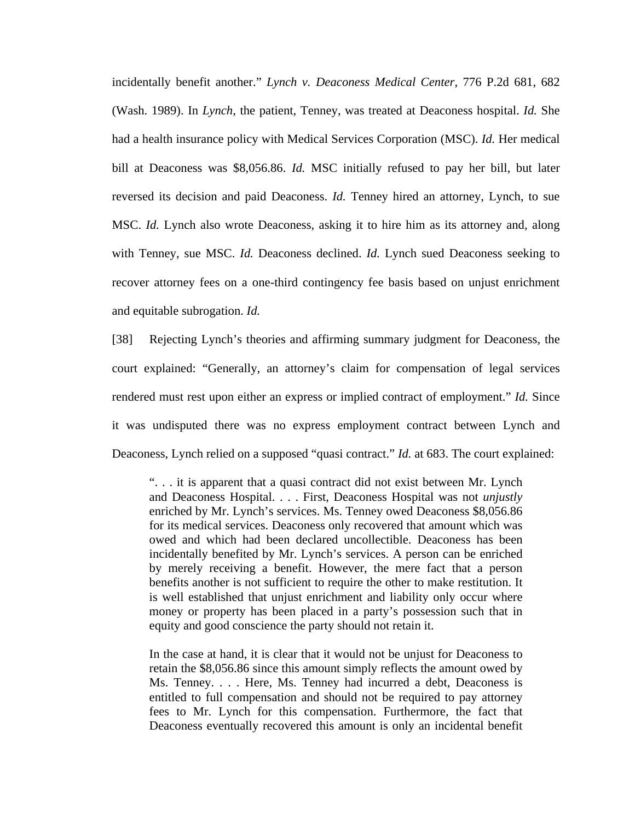incidentally benefit another." *Lynch v. Deaconess Medical Center*, 776 P.2d 681, 682 (Wash. 1989). In *Lynch*, the patient, Tenney, was treated at Deaconess hospital. *Id.* She had a health insurance policy with Medical Services Corporation (MSC). *Id.* Her medical bill at Deaconess was \$8,056.86. *Id.* MSC initially refused to pay her bill, but later reversed its decision and paid Deaconess. *Id.* Tenney hired an attorney, Lynch, to sue MSC. *Id.* Lynch also wrote Deaconess, asking it to hire him as its attorney and, along with Tenney, sue MSC. *Id.* Deaconess declined. *Id.* Lynch sued Deaconess seeking to recover attorney fees on a one-third contingency fee basis based on unjust enrichment and equitable subrogation. *Id.*

[38] Rejecting Lynch's theories and affirming summary judgment for Deaconess, the court explained: "Generally, an attorney's claim for compensation of legal services rendered must rest upon either an express or implied contract of employment." *Id.* Since it was undisputed there was no express employment contract between Lynch and Deaconess, Lynch relied on a supposed "quasi contract." *Id.* at 683. The court explained:

". . . it is apparent that a quasi contract did not exist between Mr. Lynch and Deaconess Hospital. . . . First, Deaconess Hospital was not *unjustly* enriched by Mr. Lynch's services. Ms. Tenney owed Deaconess \$8,056.86 for its medical services. Deaconess only recovered that amount which was owed and which had been declared uncollectible. Deaconess has been incidentally benefited by Mr. Lynch's services. A person can be enriched by merely receiving a benefit. However, the mere fact that a person benefits another is not sufficient to require the other to make restitution. It is well established that unjust enrichment and liability only occur where money or property has been placed in a party's possession such that in equity and good conscience the party should not retain it.

In the case at hand, it is clear that it would not be unjust for Deaconess to retain the \$8,056.86 since this amount simply reflects the amount owed by Ms. Tenney. . . . Here, Ms. Tenney had incurred a debt, Deaconess is entitled to full compensation and should not be required to pay attorney fees to Mr. Lynch for this compensation. Furthermore, the fact that Deaconess eventually recovered this amount is only an incidental benefit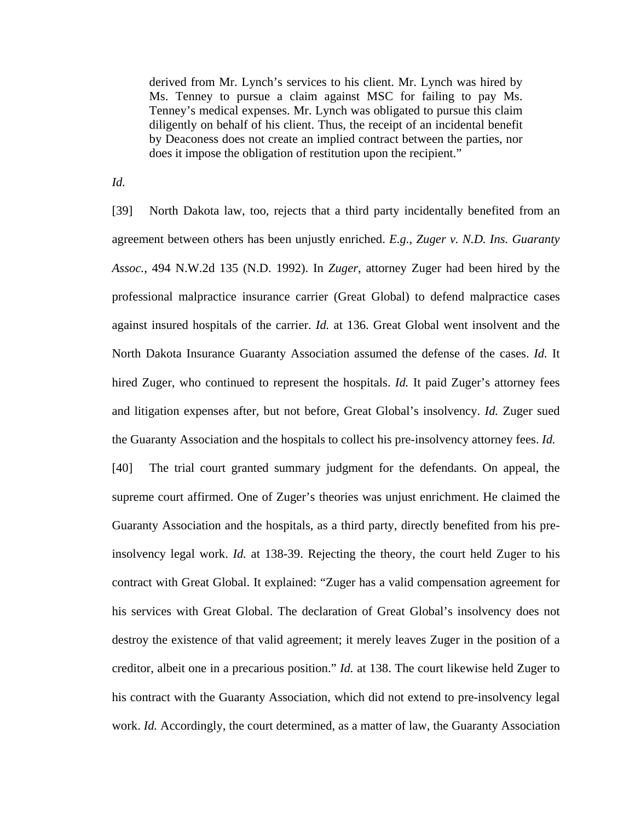derived from Mr. Lynch's services to his client. Mr. Lynch was hired by Ms. Tenney to pursue a claim against MSC for failing to pay Ms. Tenney's medical expenses. Mr. Lynch was obligated to pursue this claim diligently on behalf of his client. Thus, the receipt of an incidental benefit by Deaconess does not create an implied contract between the parties, nor does it impose the obligation of restitution upon the recipient."

*Id.*

[39] North Dakota law, too, rejects that a third party incidentally benefited from an agreement between others has been unjustly enriched. *E.g.*, *Zuger v. N.D. Ins. Guaranty Assoc.*, 494 N.W.2d 135 (N.D. 1992). In *Zuger*, attorney Zuger had been hired by the professional malpractice insurance carrier (Great Global) to defend malpractice cases against insured hospitals of the carrier. *Id.* at 136. Great Global went insolvent and the North Dakota Insurance Guaranty Association assumed the defense of the cases. *Id.* It hired Zuger, who continued to represent the hospitals. *Id.* It paid Zuger's attorney fees and litigation expenses after, but not before, Great Global's insolvency. *Id.* Zuger sued the Guaranty Association and the hospitals to collect his pre-insolvency attorney fees. *Id.* [40] The trial court granted summary judgment for the defendants. On appeal, the supreme court affirmed. One of Zuger's theories was unjust enrichment. He claimed the Guaranty Association and the hospitals, as a third party, directly benefited from his preinsolvency legal work. *Id.* at 138-39. Rejecting the theory, the court held Zuger to his contract with Great Global. It explained: "Zuger has a valid compensation agreement for his services with Great Global. The declaration of Great Global's insolvency does not destroy the existence of that valid agreement; it merely leaves Zuger in the position of a creditor, albeit one in a precarious position." *Id.* at 138. The court likewise held Zuger to his contract with the Guaranty Association, which did not extend to pre-insolvency legal work. *Id.* Accordingly, the court determined, as a matter of law, the Guaranty Association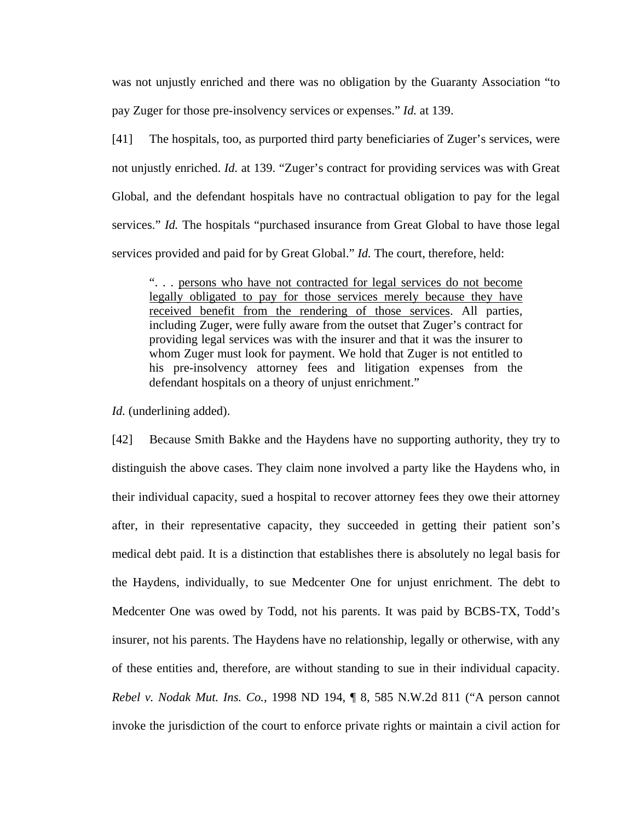was not unjustly enriched and there was no obligation by the Guaranty Association "to pay Zuger for those pre-insolvency services or expenses." *Id.* at 139.

[41] The hospitals, too, as purported third party beneficiaries of Zuger's services, were not unjustly enriched. *Id.* at 139. "Zuger's contract for providing services was with Great Global, and the defendant hospitals have no contractual obligation to pay for the legal services." *Id.* The hospitals "purchased insurance from Great Global to have those legal services provided and paid for by Great Global." *Id.* The court, therefore, held:

". . . persons who have not contracted for legal services do not become legally obligated to pay for those services merely because they have received benefit from the rendering of those services. All parties, including Zuger, were fully aware from the outset that Zuger's contract for providing legal services was with the insurer and that it was the insurer to whom Zuger must look for payment. We hold that Zuger is not entitled to his pre-insolvency attorney fees and litigation expenses from the defendant hospitals on a theory of unjust enrichment."

*Id.* (underlining added).

[42] Because Smith Bakke and the Haydens have no supporting authority, they try to distinguish the above cases. They claim none involved a party like the Haydens who, in their individual capacity, sued a hospital to recover attorney fees they owe their attorney after, in their representative capacity, they succeeded in getting their patient son's medical debt paid. It is a distinction that establishes there is absolutely no legal basis for the Haydens, individually, to sue Medcenter One for unjust enrichment. The debt to Medcenter One was owed by Todd, not his parents. It was paid by BCBS-TX, Todd's insurer, not his parents. The Haydens have no relationship, legally or otherwise, with any of these entities and, therefore, are without standing to sue in their individual capacity. *Rebel v. Nodak Mut. Ins. Co.*, 1998 ND 194, ¶ 8, 585 N.W.2d 811 ("A person cannot invoke the jurisdiction of the court to enforce private rights or maintain a civil action for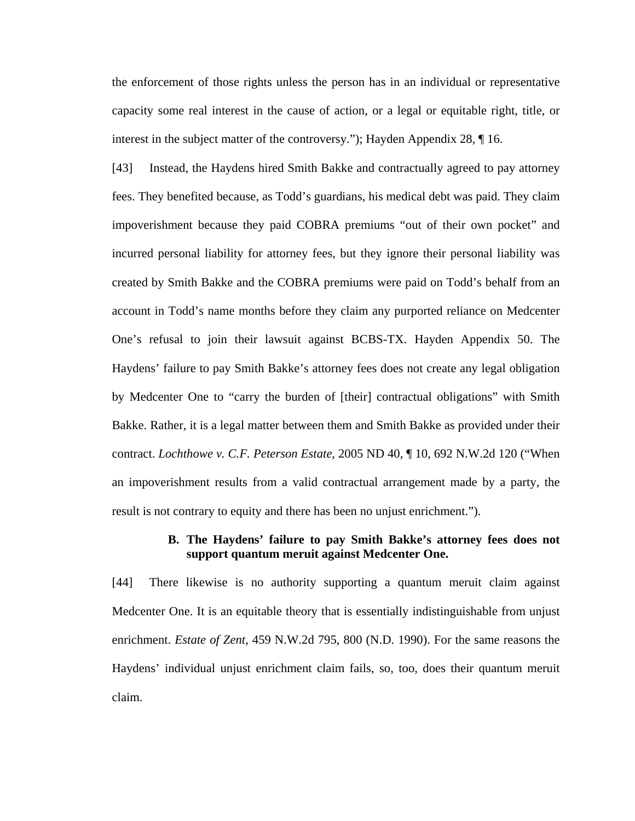the enforcement of those rights unless the person has in an individual or representative capacity some real interest in the cause of action, or a legal or equitable right, title, or interest in the subject matter of the controversy."); Hayden Appendix 28, ¶ 16.

[43] Instead, the Haydens hired Smith Bakke and contractually agreed to pay attorney fees. They benefited because, as Todd's guardians, his medical debt was paid. They claim impoverishment because they paid COBRA premiums "out of their own pocket" and incurred personal liability for attorney fees, but they ignore their personal liability was created by Smith Bakke and the COBRA premiums were paid on Todd's behalf from an account in Todd's name months before they claim any purported reliance on Medcenter One's refusal to join their lawsuit against BCBS-TX. Hayden Appendix 50. The Haydens' failure to pay Smith Bakke's attorney fees does not create any legal obligation by Medcenter One to "carry the burden of [their] contractual obligations" with Smith Bakke. Rather, it is a legal matter between them and Smith Bakke as provided under their contract. *Lochthowe v. C.F. Peterson Estate*, 2005 ND 40, ¶ 10, 692 N.W.2d 120 ("When an impoverishment results from a valid contractual arrangement made by a party, the result is not contrary to equity and there has been no unjust enrichment.").

## **B. The Haydens' failure to pay Smith Bakke's attorney fees does not support quantum meruit against Medcenter One.**

[44] There likewise is no authority supporting a quantum meruit claim against Medcenter One. It is an equitable theory that is essentially indistinguishable from unjust enrichment. *Estate of Zent*, 459 N.W.2d 795, 800 (N.D. 1990). For the same reasons the Haydens' individual unjust enrichment claim fails, so, too, does their quantum meruit claim.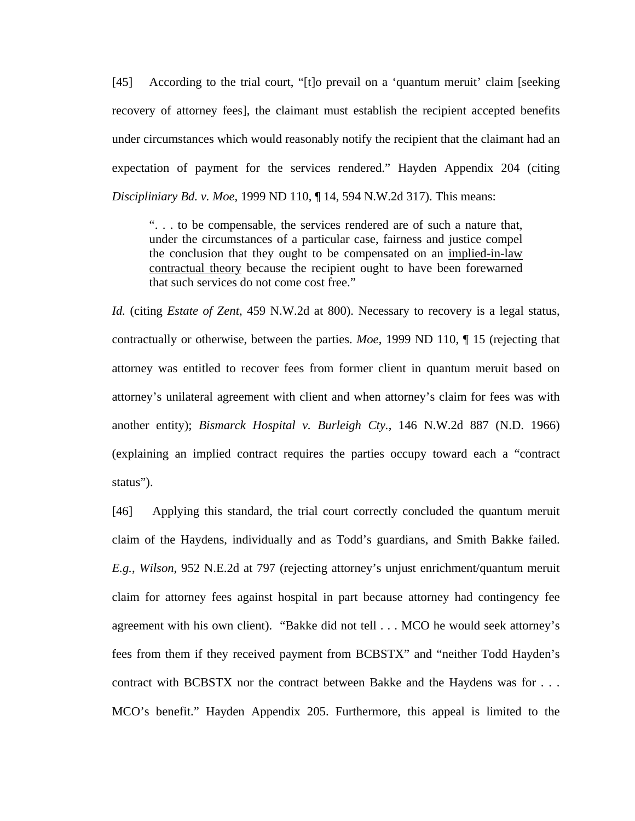[45] According to the trial court, "[t]o prevail on a 'quantum meruit' claim [seeking recovery of attorney fees], the claimant must establish the recipient accepted benefits under circumstances which would reasonably notify the recipient that the claimant had an expectation of payment for the services rendered." Hayden Appendix 204 (citing *Discipliniary Bd. v. Moe*, 1999 ND 110, ¶ 14, 594 N.W.2d 317). This means:

". . . to be compensable, the services rendered are of such a nature that, under the circumstances of a particular case, fairness and justice compel the conclusion that they ought to be compensated on an implied-in-law contractual theory because the recipient ought to have been forewarned that such services do not come cost free."

*Id.* (citing *Estate of Zent*, 459 N.W.2d at 800). Necessary to recovery is a legal status, contractually or otherwise, between the parties. *Moe*, 1999 ND 110, ¶ 15 (rejecting that attorney was entitled to recover fees from former client in quantum meruit based on attorney's unilateral agreement with client and when attorney's claim for fees was with another entity); *Bismarck Hospital v. Burleigh Cty.*, 146 N.W.2d 887 (N.D. 1966) (explaining an implied contract requires the parties occupy toward each a "contract status").

[46] Applying this standard, the trial court correctly concluded the quantum meruit claim of the Haydens, individually and as Todd's guardians, and Smith Bakke failed. *E.g.*, *Wilson*, 952 N.E.2d at 797 (rejecting attorney's unjust enrichment/quantum meruit claim for attorney fees against hospital in part because attorney had contingency fee agreement with his own client). "Bakke did not tell . . . MCO he would seek attorney's fees from them if they received payment from BCBSTX" and "neither Todd Hayden's contract with BCBSTX nor the contract between Bakke and the Haydens was for . . . MCO's benefit." Hayden Appendix 205. Furthermore, this appeal is limited to the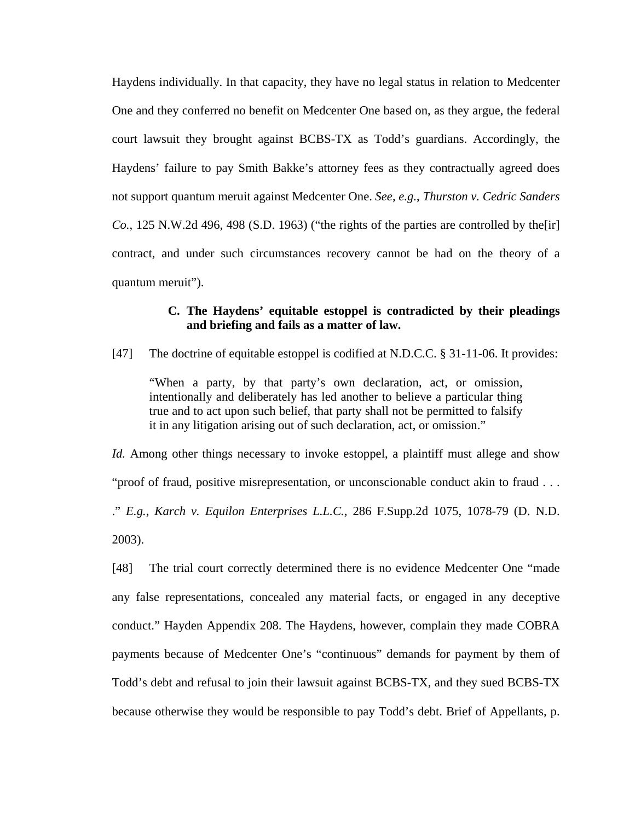Haydens individually. In that capacity, they have no legal status in relation to Medcenter One and they conferred no benefit on Medcenter One based on, as they argue, the federal court lawsuit they brought against BCBS-TX as Todd's guardians. Accordingly, the Haydens' failure to pay Smith Bakke's attorney fees as they contractually agreed does not support quantum meruit against Medcenter One. *See*, *e.g.*, *Thurston v. Cedric Sanders Co.*, 125 N.W.2d 496, 498 (S.D. 1963) ("the rights of the parties are controlled by the[ir] contract, and under such circumstances recovery cannot be had on the theory of a quantum meruit").

## **C. The Haydens' equitable estoppel is contradicted by their pleadings and briefing and fails as a matter of law.**

[47] The doctrine of equitable estoppel is codified at N.D.C.C. § 31-11-06. It provides:

"When a party, by that party's own declaration, act, or omission, intentionally and deliberately has led another to believe a particular thing true and to act upon such belief, that party shall not be permitted to falsify it in any litigation arising out of such declaration, act, or omission."

*Id.* Among other things necessary to invoke estoppel, a plaintiff must allege and show "proof of fraud, positive misrepresentation, or unconscionable conduct akin to fraud . . . ." *E.g.*, *Karch v. Equilon Enterprises L.L.C.*, 286 F.Supp.2d 1075, 1078-79 (D. N.D. 2003).

[48] The trial court correctly determined there is no evidence Medcenter One "made any false representations, concealed any material facts, or engaged in any deceptive conduct." Hayden Appendix 208. The Haydens, however, complain they made COBRA payments because of Medcenter One's "continuous" demands for payment by them of Todd's debt and refusal to join their lawsuit against BCBS-TX, and they sued BCBS-TX because otherwise they would be responsible to pay Todd's debt. Brief of Appellants, p.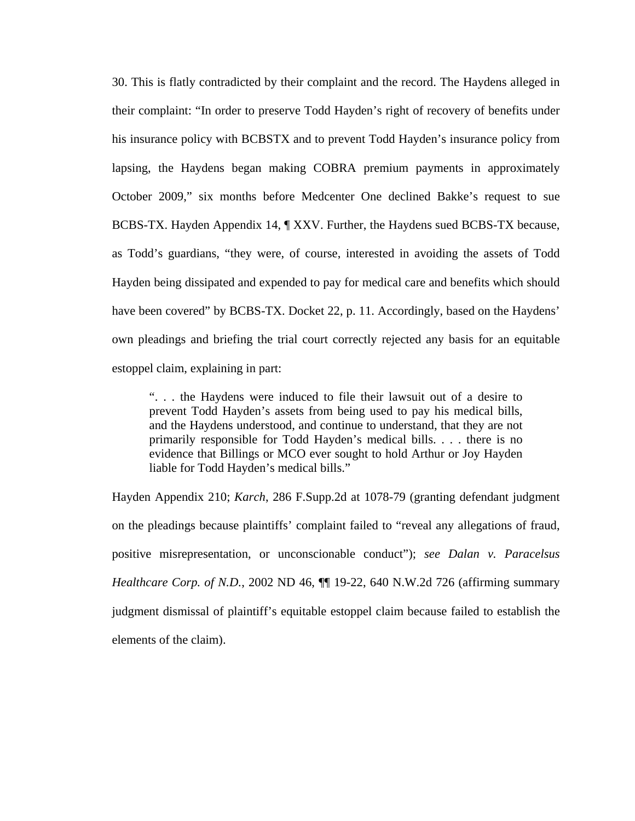30. This is flatly contradicted by their complaint and the record. The Haydens alleged in their complaint: "In order to preserve Todd Hayden's right of recovery of benefits under his insurance policy with BCBSTX and to prevent Todd Hayden's insurance policy from lapsing, the Haydens began making COBRA premium payments in approximately October 2009," six months before Medcenter One declined Bakke's request to sue BCBS-TX. Hayden Appendix 14, ¶ XXV. Further, the Haydens sued BCBS-TX because, as Todd's guardians, "they were, of course, interested in avoiding the assets of Todd Hayden being dissipated and expended to pay for medical care and benefits which should have been covered" by BCBS-TX. Docket 22, p. 11. Accordingly, based on the Haydens' own pleadings and briefing the trial court correctly rejected any basis for an equitable estoppel claim, explaining in part:

". . . the Haydens were induced to file their lawsuit out of a desire to prevent Todd Hayden's assets from being used to pay his medical bills, and the Haydens understood, and continue to understand, that they are not primarily responsible for Todd Hayden's medical bills. . . . there is no evidence that Billings or MCO ever sought to hold Arthur or Joy Hayden liable for Todd Hayden's medical bills."

Hayden Appendix 210; *Karch*, 286 F.Supp.2d at 1078-79 (granting defendant judgment on the pleadings because plaintiffs' complaint failed to "reveal any allegations of fraud, positive misrepresentation, or unconscionable conduct"); *see Dalan v. Paracelsus Healthcare Corp. of N.D.*, 2002 ND 46, ¶¶ 19-22, 640 N.W.2d 726 (affirming summary judgment dismissal of plaintiff's equitable estoppel claim because failed to establish the elements of the claim).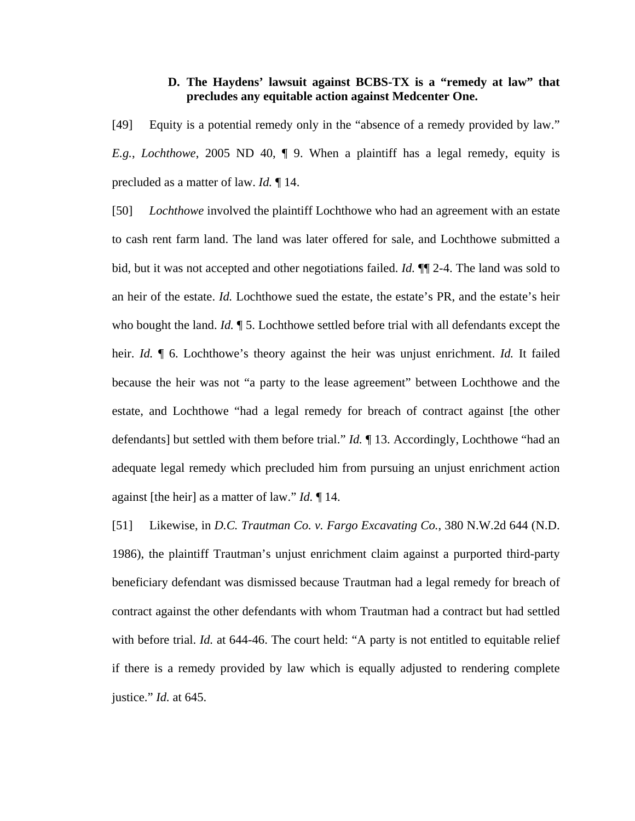### **D. The Haydens' lawsuit against BCBS-TX is a "remedy at law" that precludes any equitable action against Medcenter One.**

[49] Equity is a potential remedy only in the "absence of a remedy provided by law." *E.g.*, *Lochthowe*, 2005 ND 40, ¶ 9. When a plaintiff has a legal remedy, equity is precluded as a matter of law. *Id.* ¶ 14.

[50] *Lochthowe* involved the plaintiff Lochthowe who had an agreement with an estate to cash rent farm land. The land was later offered for sale, and Lochthowe submitted a bid, but it was not accepted and other negotiations failed. *Id.* ¶¶ 2-4. The land was sold to an heir of the estate. *Id.* Lochthowe sued the estate, the estate's PR, and the estate's heir who bought the land. *Id.*  $\P$  5. Lochthowe settled before trial with all defendants except the heir. *Id.* ¶ 6. Lochthowe's theory against the heir was unjust enrichment. *Id.* It failed because the heir was not "a party to the lease agreement" between Lochthowe and the estate, and Lochthowe "had a legal remedy for breach of contract against [the other defendants] but settled with them before trial." *Id.* ¶ 13. Accordingly, Lochthowe "had an adequate legal remedy which precluded him from pursuing an unjust enrichment action against [the heir] as a matter of law." *Id.* ¶ 14.

[51] Likewise, in *D.C. Trautman Co. v. Fargo Excavating Co.*, 380 N.W.2d 644 (N.D. 1986), the plaintiff Trautman's unjust enrichment claim against a purported third-party beneficiary defendant was dismissed because Trautman had a legal remedy for breach of contract against the other defendants with whom Trautman had a contract but had settled with before trial. *Id.* at 644-46. The court held: "A party is not entitled to equitable relief if there is a remedy provided by law which is equally adjusted to rendering complete justice." *Id.* at 645.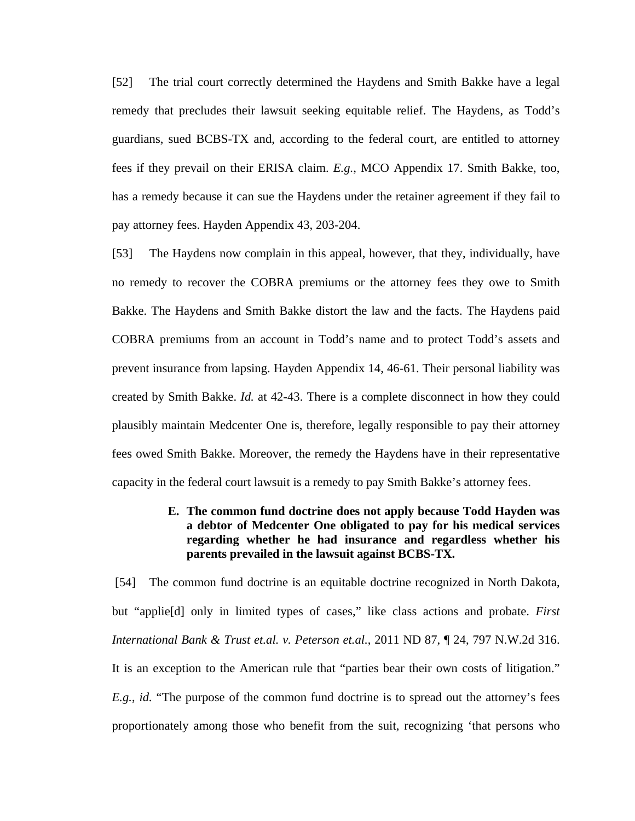[52] The trial court correctly determined the Haydens and Smith Bakke have a legal remedy that precludes their lawsuit seeking equitable relief. The Haydens, as Todd's guardians, sued BCBS-TX and, according to the federal court, are entitled to attorney fees if they prevail on their ERISA claim. *E.g.*, MCO Appendix 17. Smith Bakke, too, has a remedy because it can sue the Haydens under the retainer agreement if they fail to pay attorney fees. Hayden Appendix 43, 203-204.

[53] The Haydens now complain in this appeal, however, that they, individually, have no remedy to recover the COBRA premiums or the attorney fees they owe to Smith Bakke. The Haydens and Smith Bakke distort the law and the facts. The Haydens paid COBRA premiums from an account in Todd's name and to protect Todd's assets and prevent insurance from lapsing. Hayden Appendix 14, 46-61. Their personal liability was created by Smith Bakke. *Id.* at 42-43. There is a complete disconnect in how they could plausibly maintain Medcenter One is, therefore, legally responsible to pay their attorney fees owed Smith Bakke. Moreover, the remedy the Haydens have in their representative capacity in the federal court lawsuit is a remedy to pay Smith Bakke's attorney fees.

## **E. The common fund doctrine does not apply because Todd Hayden was a debtor of Medcenter One obligated to pay for his medical services regarding whether he had insurance and regardless whether his parents prevailed in the lawsuit against BCBS-TX.**

 [54] The common fund doctrine is an equitable doctrine recognized in North Dakota, but "applie[d] only in limited types of cases," like class actions and probate. *First International Bank & Trust et.al. v. Peterson et.al.*, 2011 ND 87, ¶ 24, 797 N.W.2d 316. It is an exception to the American rule that "parties bear their own costs of litigation." *E.g.*, *id.* "The purpose of the common fund doctrine is to spread out the attorney's fees proportionately among those who benefit from the suit, recognizing 'that persons who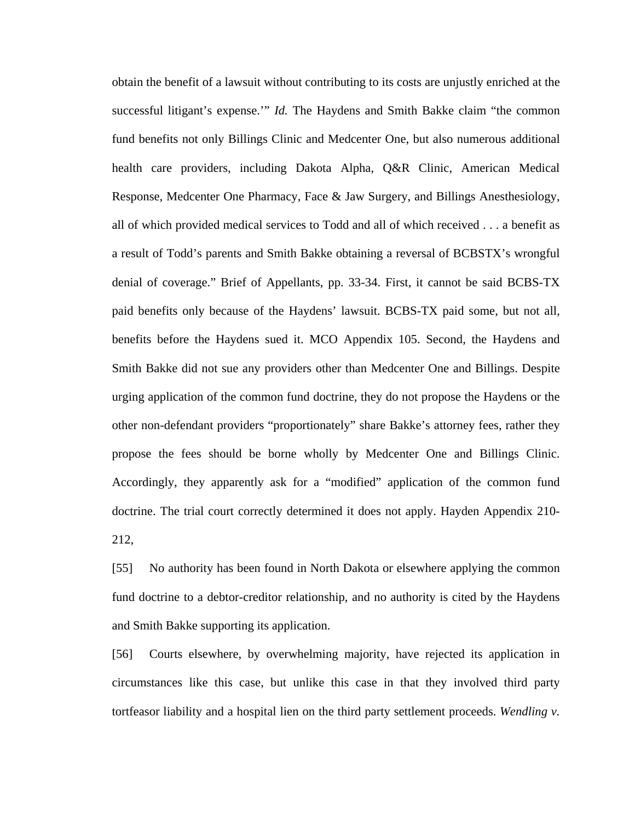obtain the benefit of a lawsuit without contributing to its costs are unjustly enriched at the successful litigant's expense.'" *Id.* The Haydens and Smith Bakke claim "the common fund benefits not only Billings Clinic and Medcenter One, but also numerous additional health care providers, including Dakota Alpha, Q&R Clinic, American Medical Response, Medcenter One Pharmacy, Face & Jaw Surgery, and Billings Anesthesiology, all of which provided medical services to Todd and all of which received . . . a benefit as a result of Todd's parents and Smith Bakke obtaining a reversal of BCBSTX's wrongful denial of coverage." Brief of Appellants, pp. 33-34. First, it cannot be said BCBS-TX paid benefits only because of the Haydens' lawsuit. BCBS-TX paid some, but not all, benefits before the Haydens sued it. MCO Appendix 105. Second, the Haydens and Smith Bakke did not sue any providers other than Medcenter One and Billings. Despite urging application of the common fund doctrine, they do not propose the Haydens or the other non-defendant providers "proportionately" share Bakke's attorney fees, rather they propose the fees should be borne wholly by Medcenter One and Billings Clinic. Accordingly, they apparently ask for a "modified" application of the common fund doctrine. The trial court correctly determined it does not apply. Hayden Appendix 210- 212,

[55] No authority has been found in North Dakota or elsewhere applying the common fund doctrine to a debtor-creditor relationship, and no authority is cited by the Haydens and Smith Bakke supporting its application.

[56] Courts elsewhere, by overwhelming majority, have rejected its application in circumstances like this case, but unlike this case in that they involved third party tortfeasor liability and a hospital lien on the third party settlement proceeds. *Wendling v.*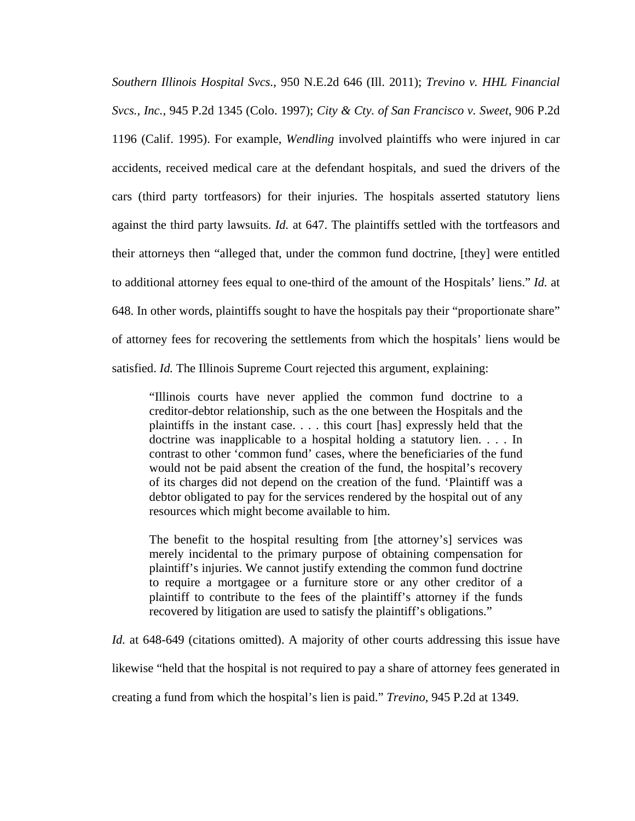*Southern Illinois Hospital Svcs.*, 950 N.E.2d 646 (Ill. 2011); *Trevino v. HHL Financial Svcs., Inc.*, 945 P.2d 1345 (Colo. 1997); *City & Cty. of San Francisco v. Sweet*, 906 P.2d 1196 (Calif. 1995). For example, *Wendling* involved plaintiffs who were injured in car accidents, received medical care at the defendant hospitals, and sued the drivers of the cars (third party tortfeasors) for their injuries. The hospitals asserted statutory liens against the third party lawsuits. *Id.* at 647. The plaintiffs settled with the tortfeasors and their attorneys then "alleged that, under the common fund doctrine, [they] were entitled to additional attorney fees equal to one-third of the amount of the Hospitals' liens." *Id.* at 648. In other words, plaintiffs sought to have the hospitals pay their "proportionate share" of attorney fees for recovering the settlements from which the hospitals' liens would be satisfied. *Id.* The Illinois Supreme Court rejected this argument, explaining:

"Illinois courts have never applied the common fund doctrine to a creditor-debtor relationship, such as the one between the Hospitals and the plaintiffs in the instant case. . . . this court [has] expressly held that the doctrine was inapplicable to a hospital holding a statutory lien. . . . In contrast to other 'common fund' cases, where the beneficiaries of the fund would not be paid absent the creation of the fund, the hospital's recovery of its charges did not depend on the creation of the fund. 'Plaintiff was a debtor obligated to pay for the services rendered by the hospital out of any resources which might become available to him.

The benefit to the hospital resulting from [the attorney's] services was merely incidental to the primary purpose of obtaining compensation for plaintiff's injuries. We cannot justify extending the common fund doctrine to require a mortgagee or a furniture store or any other creditor of a plaintiff to contribute to the fees of the plaintiff's attorney if the funds recovered by litigation are used to satisfy the plaintiff's obligations."

*Id.* at 648-649 (citations omitted). A majority of other courts addressing this issue have

likewise "held that the hospital is not required to pay a share of attorney fees generated in

creating a fund from which the hospital's lien is paid." *Trevino*, 945 P.2d at 1349.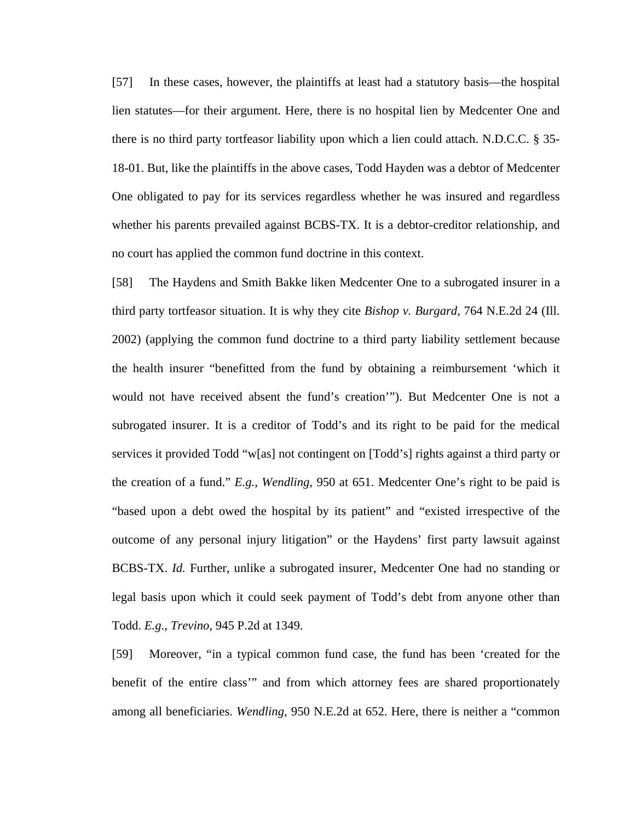[57] In these cases, however, the plaintiffs at least had a statutory basis—the hospital lien statutes—for their argument. Here, there is no hospital lien by Medcenter One and there is no third party tortfeasor liability upon which a lien could attach. N.D.C.C. § 35- 18-01. But, like the plaintiffs in the above cases, Todd Hayden was a debtor of Medcenter One obligated to pay for its services regardless whether he was insured and regardless whether his parents prevailed against BCBS-TX. It is a debtor-creditor relationship, and no court has applied the common fund doctrine in this context.

[58] The Haydens and Smith Bakke liken Medcenter One to a subrogated insurer in a third party tortfeasor situation. It is why they cite *Bishop v. Burgard*, 764 N.E.2d 24 (Ill. 2002) (applying the common fund doctrine to a third party liability settlement because the health insurer "benefitted from the fund by obtaining a reimbursement 'which it would not have received absent the fund's creation'"). But Medcenter One is not a subrogated insurer. It is a creditor of Todd's and its right to be paid for the medical services it provided Todd "w[as] not contingent on [Todd's] rights against a third party or the creation of a fund." *E.g.*, *Wendling*, 950 at 651. Medcenter One's right to be paid is "based upon a debt owed the hospital by its patient" and "existed irrespective of the outcome of any personal injury litigation" or the Haydens' first party lawsuit against BCBS-TX. *Id.* Further, unlike a subrogated insurer, Medcenter One had no standing or legal basis upon which it could seek payment of Todd's debt from anyone other than Todd. *E.g.*, *Trevino*, 945 P.2d at 1349.

[59] Moreover, "in a typical common fund case, the fund has been 'created for the benefit of the entire class'" and from which attorney fees are shared proportionately among all beneficiaries. *Wendling*, 950 N.E.2d at 652. Here, there is neither a "common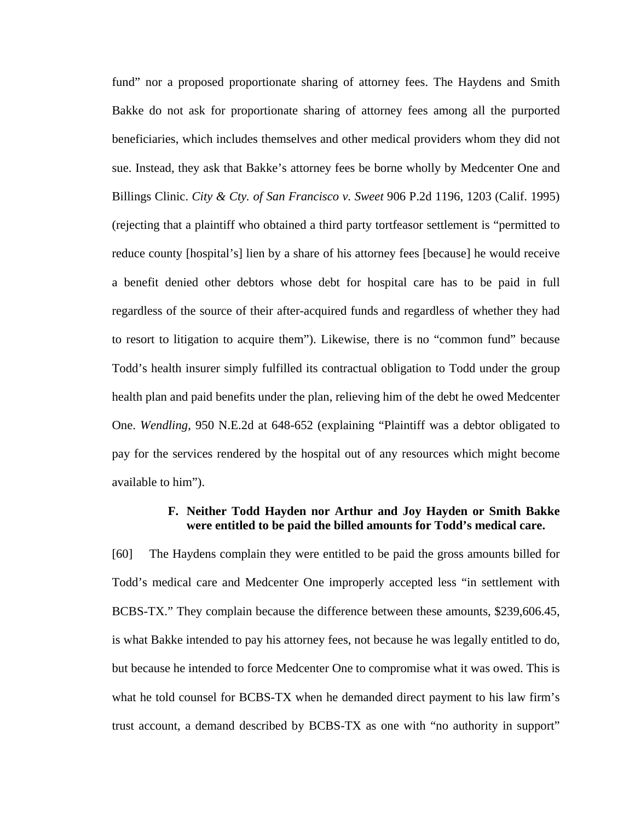fund" nor a proposed proportionate sharing of attorney fees. The Haydens and Smith Bakke do not ask for proportionate sharing of attorney fees among all the purported beneficiaries, which includes themselves and other medical providers whom they did not sue. Instead, they ask that Bakke's attorney fees be borne wholly by Medcenter One and Billings Clinic. *City & Cty. of San Francisco v. Sweet* 906 P.2d 1196, 1203 (Calif. 1995) (rejecting that a plaintiff who obtained a third party tortfeasor settlement is "permitted to reduce county [hospital's] lien by a share of his attorney fees [because] he would receive a benefit denied other debtors whose debt for hospital care has to be paid in full regardless of the source of their after-acquired funds and regardless of whether they had to resort to litigation to acquire them"). Likewise, there is no "common fund" because Todd's health insurer simply fulfilled its contractual obligation to Todd under the group health plan and paid benefits under the plan, relieving him of the debt he owed Medcenter One. *Wendling*, 950 N.E.2d at 648-652 (explaining "Plaintiff was a debtor obligated to pay for the services rendered by the hospital out of any resources which might become available to him").

#### **F. Neither Todd Hayden nor Arthur and Joy Hayden or Smith Bakke were entitled to be paid the billed amounts for Todd's medical care.**

[60] The Haydens complain they were entitled to be paid the gross amounts billed for Todd's medical care and Medcenter One improperly accepted less "in settlement with BCBS-TX." They complain because the difference between these amounts, \$239,606.45, is what Bakke intended to pay his attorney fees, not because he was legally entitled to do, but because he intended to force Medcenter One to compromise what it was owed. This is what he told counsel for BCBS-TX when he demanded direct payment to his law firm's trust account, a demand described by BCBS-TX as one with "no authority in support"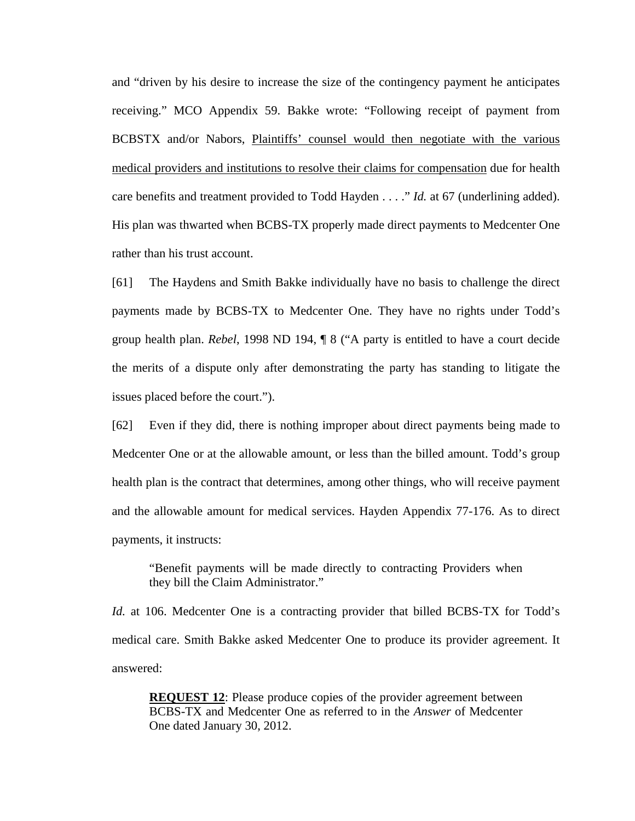and "driven by his desire to increase the size of the contingency payment he anticipates receiving." MCO Appendix 59. Bakke wrote: "Following receipt of payment from BCBSTX and/or Nabors, Plaintiffs' counsel would then negotiate with the various medical providers and institutions to resolve their claims for compensation due for health care benefits and treatment provided to Todd Hayden . . . ." *Id.* at 67 (underlining added). His plan was thwarted when BCBS-TX properly made direct payments to Medcenter One rather than his trust account.

[61] The Haydens and Smith Bakke individually have no basis to challenge the direct payments made by BCBS-TX to Medcenter One. They have no rights under Todd's group health plan. *Rebel*, 1998 ND 194, ¶ 8 ("A party is entitled to have a court decide the merits of a dispute only after demonstrating the party has standing to litigate the issues placed before the court.").

[62] Even if they did, there is nothing improper about direct payments being made to Medcenter One or at the allowable amount, or less than the billed amount. Todd's group health plan is the contract that determines, among other things, who will receive payment and the allowable amount for medical services. Hayden Appendix 77-176. As to direct payments, it instructs:

"Benefit payments will be made directly to contracting Providers when they bill the Claim Administrator."

*Id.* at 106. Medcenter One is a contracting provider that billed BCBS-TX for Todd's medical care. Smith Bakke asked Medcenter One to produce its provider agreement. It answered:

**REQUEST 12:** Please produce copies of the provider agreement between BCBS-TX and Medcenter One as referred to in the *Answer* of Medcenter One dated January 30, 2012.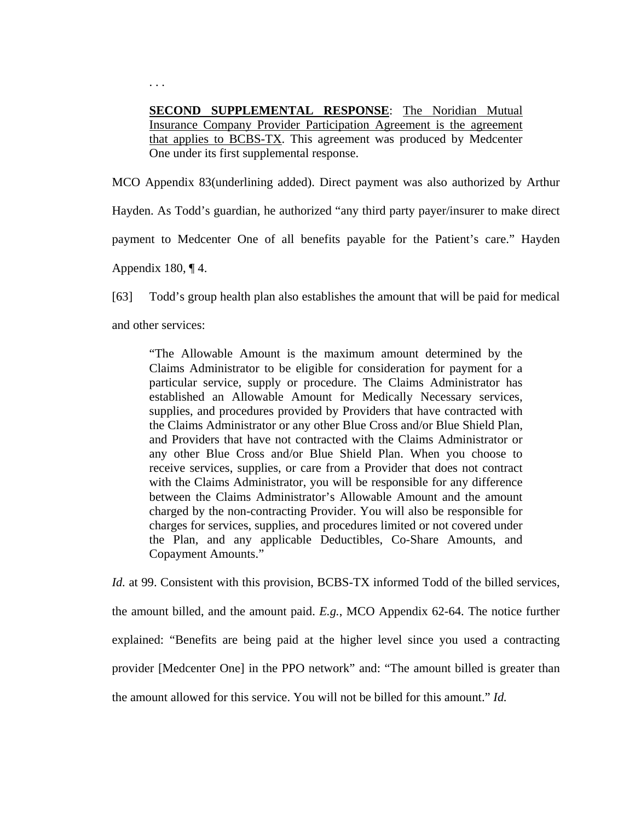**SECOND SUPPLEMENTAL RESPONSE**: The Noridian Mutual Insurance Company Provider Participation Agreement is the agreement that applies to BCBS-TX. This agreement was produced by Medcenter One under its first supplemental response.

MCO Appendix 83(underlining added). Direct payment was also authorized by Arthur Hayden. As Todd's guardian, he authorized "any third party payer/insurer to make direct payment to Medcenter One of all benefits payable for the Patient's care." Hayden Appendix 180,  $\P$ 4.

[63] Todd's group health plan also establishes the amount that will be paid for medical and other services:

"The Allowable Amount is the maximum amount determined by the Claims Administrator to be eligible for consideration for payment for a particular service, supply or procedure. The Claims Administrator has established an Allowable Amount for Medically Necessary services, supplies, and procedures provided by Providers that have contracted with the Claims Administrator or any other Blue Cross and/or Blue Shield Plan, and Providers that have not contracted with the Claims Administrator or any other Blue Cross and/or Blue Shield Plan. When you choose to receive services, supplies, or care from a Provider that does not contract with the Claims Administrator, you will be responsible for any difference between the Claims Administrator's Allowable Amount and the amount charged by the non-contracting Provider. You will also be responsible for charges for services, supplies, and procedures limited or not covered under the Plan, and any applicable Deductibles, Co-Share Amounts, and Copayment Amounts."

*Id.* at 99. Consistent with this provision, BCBS-TX informed Todd of the billed services, the amount billed, and the amount paid. *E.g.*, MCO Appendix 62-64. The notice further explained: "Benefits are being paid at the higher level since you used a contracting provider [Medcenter One] in the PPO network" and: "The amount billed is greater than the amount allowed for this service. You will not be billed for this amount." *Id.*

. . .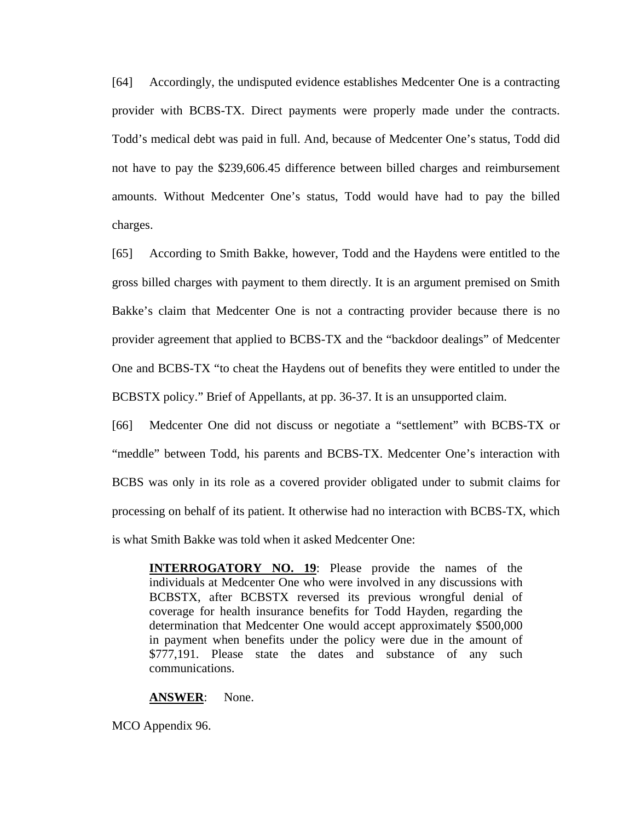[64] Accordingly, the undisputed evidence establishes Medcenter One is a contracting provider with BCBS-TX. Direct payments were properly made under the contracts. Todd's medical debt was paid in full. And, because of Medcenter One's status, Todd did not have to pay the \$239,606.45 difference between billed charges and reimbursement amounts. Without Medcenter One's status, Todd would have had to pay the billed charges.

[65] According to Smith Bakke, however, Todd and the Haydens were entitled to the gross billed charges with payment to them directly. It is an argument premised on Smith Bakke's claim that Medcenter One is not a contracting provider because there is no provider agreement that applied to BCBS-TX and the "backdoor dealings" of Medcenter One and BCBS-TX "to cheat the Haydens out of benefits they were entitled to under the BCBSTX policy." Brief of Appellants, at pp. 36-37. It is an unsupported claim.

[66] Medcenter One did not discuss or negotiate a "settlement" with BCBS-TX or "meddle" between Todd, his parents and BCBS-TX. Medcenter One's interaction with BCBS was only in its role as a covered provider obligated under to submit claims for processing on behalf of its patient. It otherwise had no interaction with BCBS-TX, which is what Smith Bakke was told when it asked Medcenter One:

**INTERROGATORY NO. 19:** Please provide the names of the individuals at Medcenter One who were involved in any discussions with BCBSTX, after BCBSTX reversed its previous wrongful denial of coverage for health insurance benefits for Todd Hayden, regarding the determination that Medcenter One would accept approximately \$500,000 in payment when benefits under the policy were due in the amount of \$777,191. Please state the dates and substance of any such communications.

#### **ANSWER**: None.

MCO Appendix 96.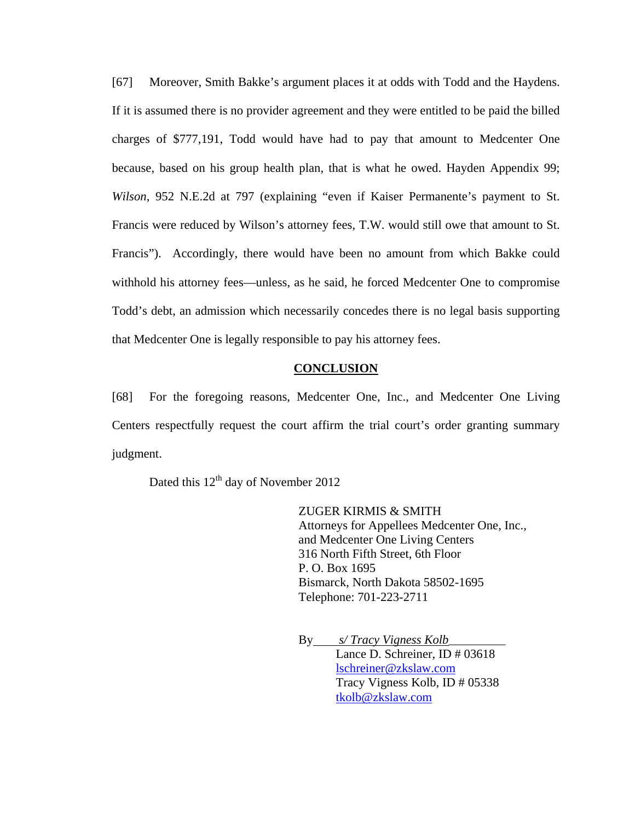[67] Moreover, Smith Bakke's argument places it at odds with Todd and the Haydens. If it is assumed there is no provider agreement and they were entitled to be paid the billed charges of \$777,191, Todd would have had to pay that amount to Medcenter One because, based on his group health plan, that is what he owed. Hayden Appendix 99; *Wilson*, 952 N.E.2d at 797 (explaining "even if Kaiser Permanente's payment to St. Francis were reduced by Wilson's attorney fees, T.W. would still owe that amount to St. Francis"). Accordingly, there would have been no amount from which Bakke could withhold his attorney fees—unless, as he said, he forced Medcenter One to compromise Todd's debt, an admission which necessarily concedes there is no legal basis supporting that Medcenter One is legally responsible to pay his attorney fees.

#### **CONCLUSION**

[68] For the foregoing reasons, Medcenter One, Inc., and Medcenter One Living Centers respectfully request the court affirm the trial court's order granting summary judgment.

Dated this 12<sup>th</sup> day of November 2012

ZUGER KIRMIS & SMITH Attorneys for Appellees Medcenter One, Inc., and Medcenter One Living Centers 316 North Fifth Street, 6th Floor P. O. Box 1695 Bismarck, North Dakota 58502-1695 Telephone: 701-223-2711

By *s/ Tracy Vigness Kolb*\_\_\_\_\_\_\_\_\_\_ Lance D. Schreiner, ID # 03618 lschreiner@zkslaw.com Tracy Vigness Kolb, ID # 05338 tkolb@zkslaw.com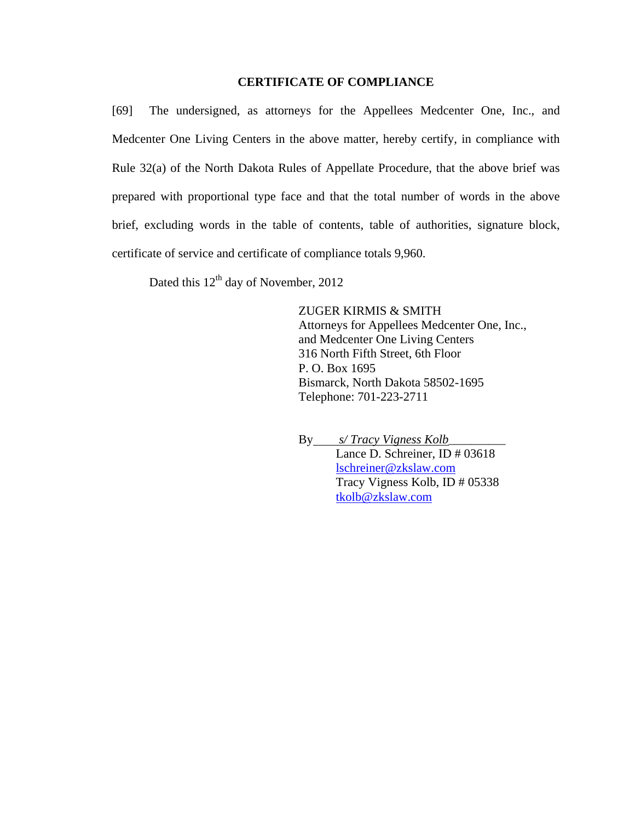## **CERTIFICATE OF COMPLIANCE**

[69] The undersigned, as attorneys for the Appellees Medcenter One, Inc., and Medcenter One Living Centers in the above matter, hereby certify, in compliance with Rule 32(a) of the North Dakota Rules of Appellate Procedure, that the above brief was prepared with proportional type face and that the total number of words in the above brief, excluding words in the table of contents, table of authorities, signature block, certificate of service and certificate of compliance totals 9,960.

Dated this  $12<sup>th</sup>$  day of November, 2012

ZUGER KIRMIS & SMITH Attorneys for Appellees Medcenter One, Inc., and Medcenter One Living Centers 316 North Fifth Street, 6th Floor P. O. Box 1695 Bismarck, North Dakota 58502-1695 Telephone: 701-223-2711

By *s/ Tracy Vigness Kolb*\_\_\_\_\_\_\_\_\_\_ Lance D. Schreiner, ID # 03618 lschreiner@zkslaw.com Tracy Vigness Kolb, ID # 05338 tkolb@zkslaw.com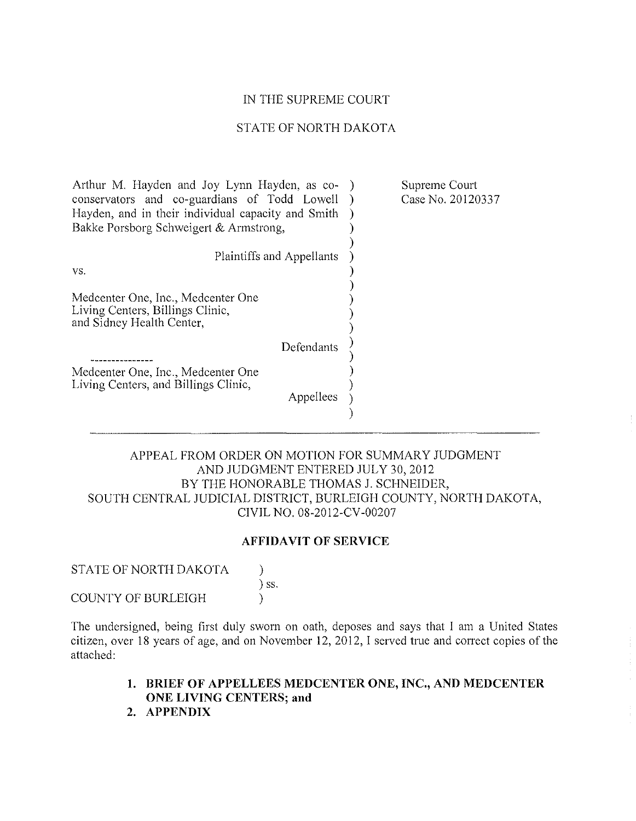#### IN THE SUPREME COURT

## STATE OF NORTH DAKOTA

| Arthur M. Hayden and Joy Lynn Hayden, as co-<br>conservators and co-guardians of Todd Lowell<br>Hayden, and in their individual capacity and Smith<br>Bakke Porsborg Schweigert & Armstrong, | Supreme Court<br>Case No. 20120337 |
|----------------------------------------------------------------------------------------------------------------------------------------------------------------------------------------------|------------------------------------|
| Plaintiffs and Appellants                                                                                                                                                                    |                                    |
| VS.                                                                                                                                                                                          |                                    |
| Medcenter One, Inc., Medcenter One<br>Living Centers, Billings Clinic,<br>and Sidney Health Center,                                                                                          |                                    |
| Defendants                                                                                                                                                                                   |                                    |
| Medcenter One, Inc., Medcenter One<br>Living Centers, and Billings Clinic,<br>Appellees                                                                                                      |                                    |

## APPEAL FROM ORDER ON MOTION FOR SUMMARY JUDGMENT AND JUDGMENT ENTERED JULY 30, 2012 BY THE HONORABLE THOMAS J. SCHNEIDER, SOUTH CENTRAL JUDICIAL DISTRICT, BURLEIGH COUNTY, NORTH DAKOTA, CIVIL NO. 08-2012-CV-00207

## **AFFIDAVIT OF SERVICE**

STATE OF NORTH DAKOTA  $\qquad$  ) ) ss. COUNTY OF BURLEIGH (1)

The undersigned, being first duly sworn on oath, deposes and says that I am a United States citizen, over 18 years of age, and on November 12, 2012, I served true and correct copies of the attached:

- **1. BRIEF OF APPELLEES MEDCENTER ONE, INC., AND MEDCENTER ONE LIVING CENTERS; and**
- **2. APPENDIX**